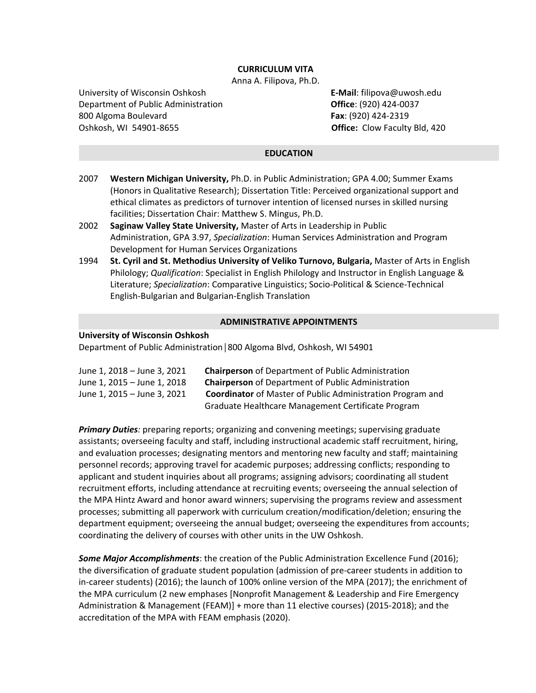# **CURRICULUM VITA**

Anna A. Filipova, Ph.D.

University of Wisconsin Oshkosh **E-Mail**: filipova@uwosh.edu Department of Public Administration **Office**: (920) 424-0037 800 Algoma Boulevard **Fax**: (920) 424-2319 Oshkosh, WI 54901-8655 **Office:** Clow Faculty Bld, 420

### **EDUCATION**

- 2007 **Western Michigan University,** Ph.D. in Public Administration; GPA 4.00; Summer Exams (Honors in Qualitative Research); Dissertation Title: Perceived organizational support and ethical climates as predictors of turnover intention of licensed nurses in skilled nursing facilities; Dissertation Chair: Matthew S. Mingus, Ph.D.
- 2002 **Saginaw Valley State University,** Master of Arts in Leadership in Public Administration, GPA 3.97, *Specialization*: Human Services Administration and Program Development for Human Services Organizations
- 1994 **St. Cyril and St. Methodius University of Veliko Turnovo, Bulgaria,** Master of Arts in English Philology; *Qualification*: Specialist in English Philology and Instructor in English Language & Literature; *Specialization*: Comparative Linguistics; Socio-Political & Science-Technical English-Bulgarian and Bulgarian-English Translation

#### **ADMINISTRATIVE APPOINTMENTS**

#### **University of Wisconsin Oshkosh**

Department of Public Administration**│**800 Algoma Blvd, Oshkosh, WI 54901

| June 1, 2018 – June 3, 2021 | <b>Chairperson</b> of Department of Public Administration         |
|-----------------------------|-------------------------------------------------------------------|
| June 1, 2015 – June 1, 2018 | <b>Chairperson</b> of Department of Public Administration         |
| June 1, 2015 – June 3, 2021 | <b>Coordinator</b> of Master of Public Administration Program and |
|                             | Graduate Healthcare Management Certificate Program                |

*Primary Duties:* preparing reports; organizing and convening meetings; supervising graduate assistants; overseeing faculty and staff, including instructional academic staff recruitment, hiring, and evaluation processes; designating mentors and mentoring new faculty and staff; maintaining personnel records; approving travel for academic purposes; addressing conflicts; responding to applicant and student inquiries about all programs; assigning advisors; coordinating all student recruitment efforts, including attendance at recruiting events; overseeing the annual selection of the MPA Hintz Award and honor award winners; supervising the programs review and assessment processes; submitting all paperwork with curriculum creation/modification/deletion; ensuring the department equipment; overseeing the annual budget; overseeing the expenditures from accounts; coordinating the delivery of courses with other units in the UW Oshkosh.

*Some Major Accomplishments*: the creation of the Public Administration Excellence Fund (2016); the diversification of graduate student population (admission of pre-career students in addition to in-career students) (2016); the launch of 100% online version of the MPA (2017); the enrichment of the MPA curriculum (2 new emphases [Nonprofit Management & Leadership and Fire Emergency Administration & Management (FEAM)] + more than 11 elective courses) (2015-2018); and the accreditation of the MPA with FEAM emphasis (2020).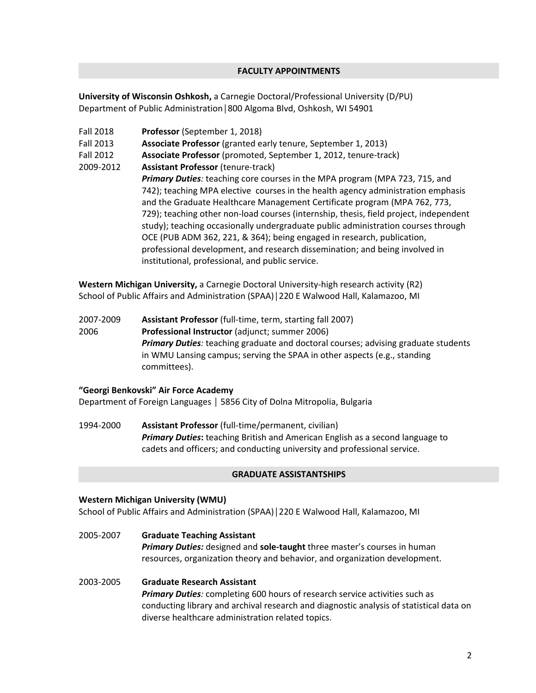# **FACULTY APPOINTMENTS**

**University of Wisconsin Oshkosh,** a Carnegie Doctoral/Professional University (D/PU) Department of Public Administration**│**800 Algoma Blvd, Oshkosh, WI 54901

Fall 2018 **Professor** (September 1, 2018)

Fall 2013 **Associate Professor** (granted early tenure, September 1, 2013)

- Fall 2012 **Associate Professor** (promoted, September 1, 2012, tenure-track)
- 2009-2012 **Assistant Professor** (tenure-track) *Primary Duties:* teaching core courses in the MPA program (MPA 723, 715, and 742); teaching MPA elective courses in the health agency administration emphasis and the Graduate Healthcare Management Certificate program (MPA 762, 773, 729); teaching other non-load courses (internship, thesis, field project, independent study); teaching occasionally undergraduate public administration courses through OCE (PUB ADM 362, 221, & 364); being engaged in research, publication, professional development, and research dissemination; and being involved in institutional, professional, and public service.

**Western Michigan University,** a Carnegie Doctoral University-high research activity (R2) School of Public Affairs and Administration (SPAA)**│**220 E Walwood Hall, Kalamazoo, MI

2007-2009 **Assistant Professor** (full-time, term, starting fall 2007) 2006 **Professional Instructor** (adjunct; summer 2006) *Primary Duties:* teaching graduate and doctoral courses; advising graduate students in WMU Lansing campus; serving the SPAA in other aspects (e.g., standing committees).

# **"Georgi Benkovski" Air Force Academy**

Department of Foreign Languages │ 5856 City of Dolna Mitropolia, Bulgaria

1994-2000 **Assistant Professor** (full-time/permanent, civilian) *Primary Duties***:** teaching British and American English as a second language to cadets and officers; and conducting university and professional service.

#### **GRADUATE ASSISTANTSHIPS**

resources, organization theory and behavior, and organization development.

#### **Western Michigan University (WMU)**

School of Public Affairs and Administration (SPAA)**│**220 E Walwood Hall, Kalamazoo, MI

2005-2007 **Graduate Teaching Assistant** *Primary Duties:* designed and **sole-taught** three master's courses in human

2003-2005 **Graduate Research Assistant** *Primary Duties:* completing 600 hours of research service activities such as conducting library and archival research and diagnostic analysis of statistical data on diverse healthcare administration related topics.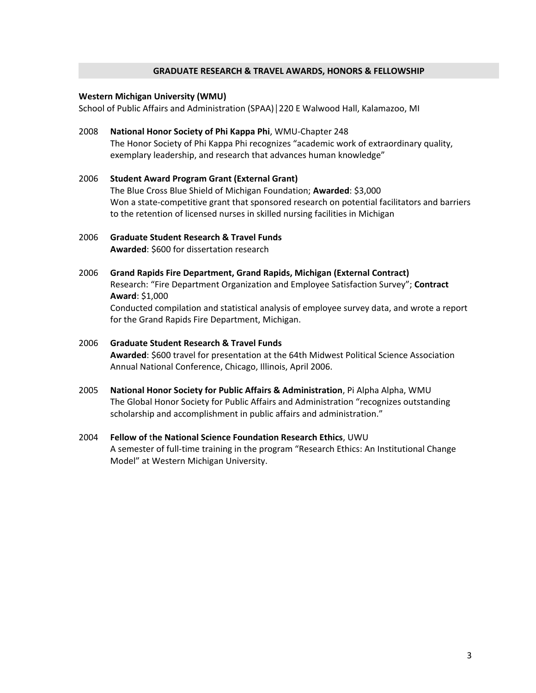#### **GRADUATE RESEARCH & TRAVEL AWARDS, HONORS & FELLOWSHIP**

#### **Western Michigan University (WMU)**

School of Public Affairs and Administration (SPAA)**│**220 E Walwood Hall, Kalamazoo, MI

- 2008 **National Honor Society of Phi Kappa Phi**, WMU-Chapter 248 The Honor Society of Phi Kappa Phi recognizes "academic work of extraordinary quality, exemplary leadership, and research that advances human knowledge"
- 2006 **Student Award Program Grant (External Grant)** The Blue Cross Blue Shield of Michigan Foundation; **Awarded**: \$3,000 Won a state-competitive grant that sponsored research on potential facilitators and barriers to the retention of licensed nurses in skilled nursing facilities in Michigan

# 2006 **Graduate Student Research & Travel Funds Awarded**: \$600 for dissertation research

2006 **Grand Rapids Fire Department, Grand Rapids, Michigan (External Contract)** Research: "Fire Department Organization and Employee Satisfaction Survey"; **Contract Award**: \$1,000 Conducted compilation and statistical analysis of employee survey data, and wrote a report for the Grand Rapids Fire Department, Michigan.

# 2006 **Graduate Student Research & Travel Funds Awarded**: \$600 travel for presentation at the 64th Midwest Political Science Association Annual National Conference, Chicago, Illinois, April 2006.

- 2005 **National Honor Society for Public Affairs & Administration**, Pi Alpha Alpha, WMU The Global Honor Society for Public Affairs and Administration "recognizes outstanding scholarship and accomplishment in public affairs and administration."
- 2004 **Fellow of** t**he National Science Foundation Research Ethics**, UWU A semester of full-time training in the program "Research Ethics: An Institutional Change Model" at Western Michigan University.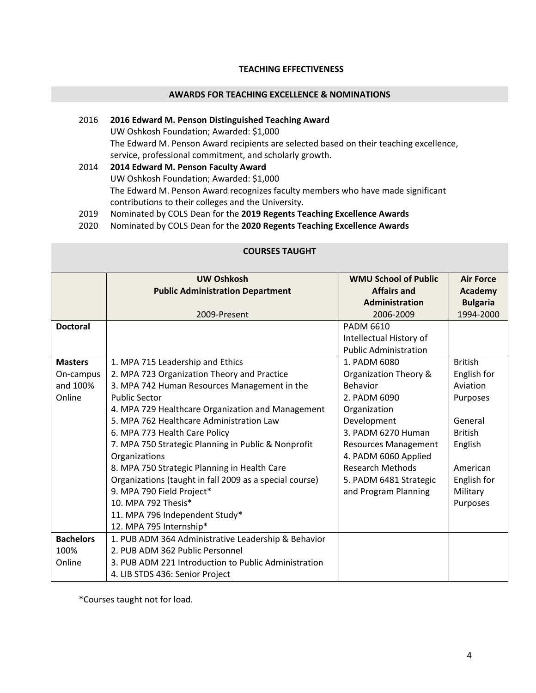# **TEACHING EFFECTIVENESS**

# **AWARDS FOR TEACHING EXCELLENCE & NOMINATIONS**

# 2016 **2016 Edward M. Penson Distinguished Teaching Award** UW Oshkosh Foundation; Awarded: \$1,000 The Edward M. Penson Award recipients are selected based on their teaching excellence, service, professional commitment, and scholarly growth. 2014 **2014 Edward M. Penson Faculty Award** UW Oshkosh Foundation; Awarded: \$1,000 The Edward M. Penson Award recognizes faculty members who have made significant

contributions to their colleges and the University.

2019 Nominated by COLS Dean for the **2019 Regents Teaching Excellence Awards**

2020 Nominated by COLS Dean for the **2020 Regents Teaching Excellence Awards**

|                  | <b>UW Oshkosh</b>                                       | <b>WMU School of Public</b>  | <b>Air Force</b> |
|------------------|---------------------------------------------------------|------------------------------|------------------|
|                  | <b>Public Administration Department</b>                 | <b>Affairs and</b>           | Academy          |
|                  |                                                         | Administration               | <b>Bulgaria</b>  |
|                  | 2009-Present                                            | 2006-2009                    | 1994-2000        |
| <b>Doctoral</b>  |                                                         | PADM 6610                    |                  |
|                  |                                                         | Intellectual History of      |                  |
|                  |                                                         | <b>Public Administration</b> |                  |
| <b>Masters</b>   | 1. MPA 715 Leadership and Ethics                        | 1. PADM 6080                 | <b>British</b>   |
| On-campus        | 2. MPA 723 Organization Theory and Practice             | Organization Theory &        | English for      |
| and 100%         | 3. MPA 742 Human Resources Management in the            | <b>Behavior</b>              | Aviation         |
| Online           | <b>Public Sector</b>                                    | 2. PADM 6090                 | Purposes         |
|                  | 4. MPA 729 Healthcare Organization and Management       | Organization                 |                  |
|                  | 5. MPA 762 Healthcare Administration Law                | Development                  | General          |
|                  | 6. MPA 773 Health Care Policy                           | 3. PADM 6270 Human           | <b>British</b>   |
|                  | 7. MPA 750 Strategic Planning in Public & Nonprofit     | <b>Resources Management</b>  | English          |
|                  | Organizations                                           | 4. PADM 6060 Applied         |                  |
|                  | 8. MPA 750 Strategic Planning in Health Care            | <b>Research Methods</b>      | American         |
|                  | Organizations (taught in fall 2009 as a special course) | 5. PADM 6481 Strategic       | English for      |
|                  | 9. MPA 790 Field Project*                               | and Program Planning         | Military         |
|                  | 10. MPA 792 Thesis*                                     |                              | Purposes         |
|                  | 11. MPA 796 Independent Study*                          |                              |                  |
|                  | 12. MPA 795 Internship*                                 |                              |                  |
| <b>Bachelors</b> | 1. PUB ADM 364 Administrative Leadership & Behavior     |                              |                  |
| 100%             | 2. PUB ADM 362 Public Personnel                         |                              |                  |
| Online           | 3. PUB ADM 221 Introduction to Public Administration    |                              |                  |
|                  | 4. LIB STDS 436: Senior Project                         |                              |                  |

# **COURSES TAUGHT**

\*Courses taught not for load.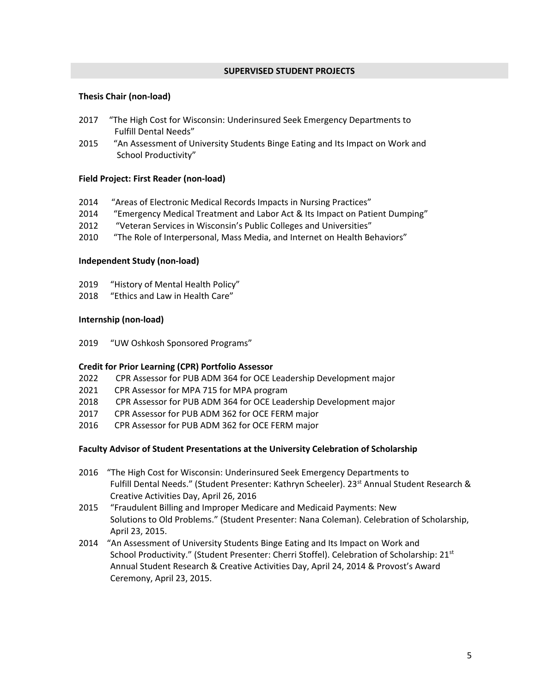### **SUPERVISED STUDENT PROJECTS**

# **Thesis Chair (non-load)**

- 2017 "The High Cost for Wisconsin: Underinsured Seek Emergency Departments to Fulfill Dental Needs"
- 2015 "An Assessment of University Students Binge Eating and Its Impact on Work and School Productivity"

# **Field Project: First Reader (non-load)**

- 2014 "Areas of Electronic Medical Records Impacts in Nursing Practices"
- 2014 "Emergency Medical Treatment and Labor Act & Its Impact on Patient Dumping"
- 2012 "Veteran Services in Wisconsin's Public Colleges and Universities"
- 2010 "The Role of Interpersonal, Mass Media, and Internet on Health Behaviors"

### **Independent Study (non-load)**

- 2019 "History of Mental Health Policy"
- 2018 "Ethics and Law in Health Care"

### **Internship (non-load)**

2019 "UW Oshkosh Sponsored Programs"

# **Credit for Prior Learning (CPR) Portfolio Assessor**

- 2022 CPR Assessor for PUB ADM 364 for OCE Leadership Development major
- 2021 CPR Assessor for MPA 715 for MPA program
- 2018 CPR Assessor for PUB ADM 364 for OCE Leadership Development major
- 2017 CPR Assessor for PUB ADM 362 for OCE FERM major
- 2016 CPR Assessor for PUB ADM 362 for OCE FERM major

#### **Faculty Advisor of Student Presentations at the University Celebration of Scholarship**

- 2016 "The High Cost for Wisconsin: Underinsured Seek Emergency Departments to Fulfill Dental Needs." (Student Presenter: Kathryn Scheeler). 23<sup>st</sup> Annual Student Research & Creative Activities Day, April 26, 2016
- 2015 "Fraudulent Billing and Improper Medicare and Medicaid Payments: New Solutions to Old Problems." (Student Presenter: Nana Coleman). Celebration of Scholarship, April 23, 2015.
- 2014 "An Assessment of University Students Binge Eating and Its Impact on Work and School Productivity." (Student Presenter: Cherri Stoffel). Celebration of Scholarship: 21st Annual Student Research & Creative Activities Day, April 24, 2014 & Provost's Award Ceremony, April 23, 2015.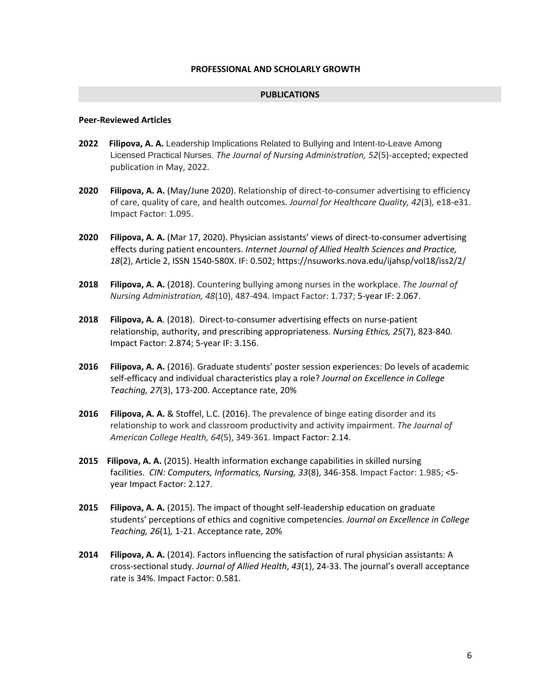#### **PUBLICATIONS**

# **Peer-Reviewed Articles**

- **2022 Filipova, A. A.** Leadership Implications Related to Bullying and Intent-to-Leave Among Licensed Practical Nurses. *The Journal of Nursing Administration, 52*(5)-accepted; expected publication in May, 2022.
- **2020 Filipova, A. A.** (May/June 2020). Relationship of direct-to-consumer advertising to efficiency of care, quality of care, and health outcomes. *Journal for Healthcare Quality, 42*(3)*,* e18-e31. Impact Factor: 1.095.
- **2020 Filipova, A. A.** (Mar 17, 2020). Physician assistants' views of direct-to-consumer advertising effects during patient encounters. *Internet Journal of Allied Health Sciences and Practice, 18*(2), Article 2, ISSN 1540-580X. IF: 0.502[; https://nsuworks.nova.edu/ijahsp/vol18/iss2/2/](https://nsuworks.nova.edu/ijahsp/vol18/iss2/2/)
- **2018 Filipova, A. A.** (2018). Countering bullying among nurses in the workplace. *The Journal of Nursing Administration, 48*(10), 487-494. Impact Factor: 1.737; 5-year IF: 2.067.
- **2018 Filipova, A. A**. (2018). Direct-to-consumer advertising effects on nurse-patient relationship, authority, and prescribing appropriateness. *Nursing Ethics, 25*(7), 823-840*.* Impact Factor: 2.874; 5-year IF: 3.156.
- **2016 Filipova, A. A.** (2016). Graduate students' poster session experiences: Do levels of academic self-efficacy and individual characteristics play a role? *Journal on Excellence in College Teaching, 27*(3), 173-200. Acceptance rate, 20%
- **2016 Filipova, A. A.** & Stoffel, L.C. (2016). The prevalence of binge eating disorder and its relationship to work and classroom productivity and activity impairment. *The Journal of American College Health, 64*(5), 349-361. Impact Factor: 2.14.
- **2015 Filipova, A. A.** (2015). Health information exchange capabilities in skilled nursing facilities. *CIN: Computers, Informatics, Nursing, 33*(8), 346-358. Impact Factor: 1.985; <5 year Impact Factor: 2.127.
- **2015 Filipova, A. A.** (2015). The impact of thought self-leadership education on graduate students' perceptions of ethics and cognitive competencies. *Journal on Excellence in College Teaching, 26*(1)*,* 1-21. Acceptance rate, 20%
- **2014 Filipova, A. A.** (2014). Factors influencing the satisfaction of rural physician assistants: A cross-sectional study. *Journal of Allied Health*, *43*(1), 24-33. The journal's overall acceptance rate is 34%. Impact Factor: 0.581.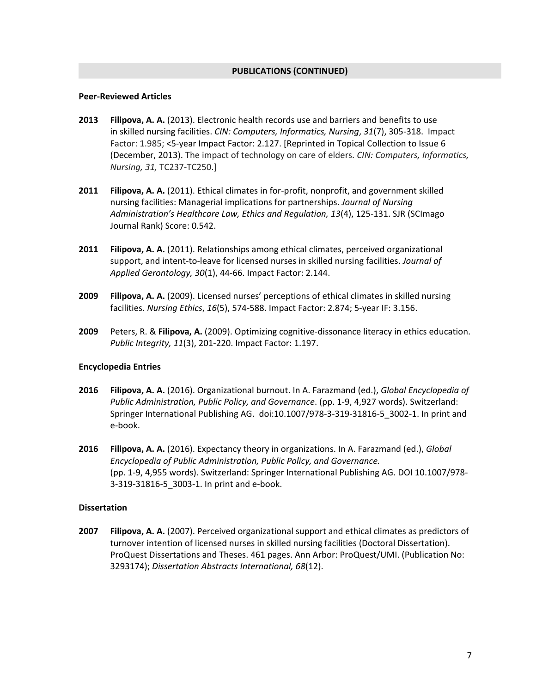### **PUBLICATIONS (CONTINUED)**

#### **Peer-Reviewed Articles**

- **2013 Filipova, A. A.** (2013). Electronic health records use and barriers and benefits to use in skilled nursing facilities. *CIN: Computers, Informatics, Nursing*, *31*(7), 305-318. Impact Factor: 1.985; <5-year Impact Factor: 2.127. [Reprinted in Topical Collection to Issue 6 (December, 2013). The impact of technology on care of elders. *CIN: Computers, Informatics, Nursing, 31,* TC237-TC250.]
- **2011 Filipova, A. A.** (2011). Ethical climates in for-profit, nonprofit, and government skilled nursing facilities: Managerial implications for partnerships. *Journal of Nursing Administration's Healthcare Law, Ethics and Regulation, 13*(4), 125-131. SJR (SCImago Journal Rank) Score: 0.542.
- **2011 Filipova, A. A.** (2011). Relationships among ethical climates, perceived organizational support, and intent-to-leave for licensed nurses in skilled nursing facilities. *Journal of Applied Gerontology, 30*(1), 44-66. Impact Factor: 2.144.
- **2009 Filipova, A. A.** (2009). Licensed nurses' perceptions of ethical climates in skilled nursing facilities. *Nursing Ethics*, *16*(5), 574-588. Impact Factor: 2.874; 5-year IF: 3.156.
- **2009** Peters, R. & **Filipova, A.** (2009). Optimizing cognitive-dissonance literacy in ethics education. *Public Integrity, 11*(3), 201-220. Impact Factor: 1.197.

# **Encyclopedia Entries**

- **2016 Filipova, A. A.** (2016). Organizational burnout. In A. Farazmand (ed.), *Global Encyclopedia of Public Administration, Public Policy, and Governance*. (pp. 1-9, 4,927 words). Switzerland: Springer International Publishing AG. [doi:10.1007/978-3-319-31816-5\\_3002-1.](http://link.springer.com/referenceworkentry/10.1007/978-3-319-31816-5_3002-1) In print and e-book.
- **2016 Filipova, A. A.** (2016). Expectancy theory in organizations. In A. Farazmand (ed.), *Global Encyclopedia of Public Administration, Public Policy, and Governance.*  (pp. 1-9, 4,955 words). Switzerland: Springer International Publishing AG. DOI 10.1007/978- 3-319-31816-5\_3003-1. In print and e-book.

#### **Dissertation**

**2007 Filipova, A. A.** (2007). Perceived organizational support and ethical climates as predictors of turnover intention of licensed nurses in skilled nursing facilities (Doctoral Dissertation). ProQuest Dissertations and Theses. 461 pages. Ann Arbor: ProQuest/UMI. (Publication No: 3293174); *Dissertation Abstracts International, 68*(12).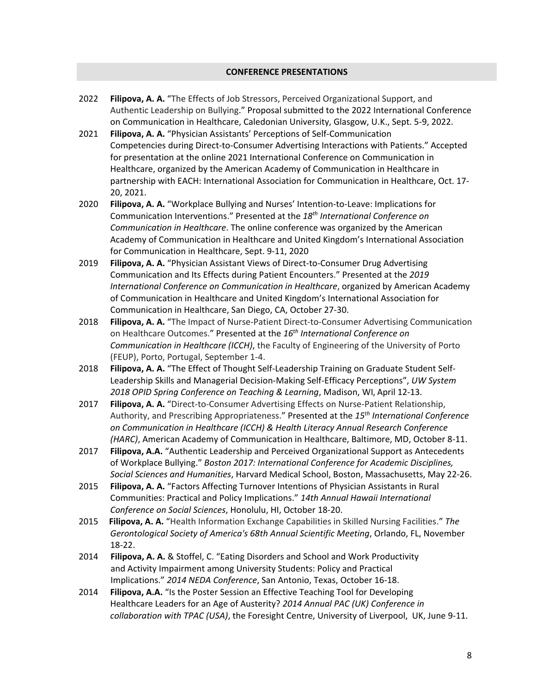# **CONFERENCE PRESENTATIONS**

- 2022 **Filipova, A. A.** "The Effects of Job Stressors, Perceived Organizational Support, and Authentic Leadership on Bullying." Proposal submitted to the 2022 International Conference on Communication in Healthcare, Caledonian University, Glasgow, U.K., Sept. 5-9, 2022.
- 2021 **Filipova, A. A.** "Physician Assistants' Perceptions of Self-Communication Competencies during Direct-to-Consumer Advertising Interactions with Patients." Accepted for presentation at the online 2021 International Conference on Communication in Healthcare, organized by the American Academy of Communication in Healthcare in partnership with EACH: International Association for Communication in Healthcare, Oct. 17- 20, 2021.
- 2020 **Filipova, A. A.** "Workplace Bullying and Nurses' Intention-to-Leave: Implications for Communication Interventions." Presented at the *18th International Conference on Communication in Healthcare*. The online conference was organized by the American Academy of Communication in Healthcare and United Kingdom's International Association for Communication in Healthcare, Sept. 9-11, 2020
- 2019 **Filipova, A. A.** "Physician Assistant Views of Direct-to-Consumer Drug Advertising Communication and Its Effects during Patient Encounters." Presented at the *2019 International Conference on Communication in Healthcare*, organized by American Academy of Communication in Healthcare and United Kingdom's International Association for Communication in Healthcare, San Diego, CA, October 27-30.
- 2018 **Filipova, A. A.** "The Impact of Nurse-Patient Direct-to-Consumer Advertising Communication on Healthcare Outcomes." Presented at the *16th International Conference on Communication in Healthcare (ICCH)*, the Faculty of Engineering of the University of Porto (FEUP), Porto, Portugal, September 1-4.
- 2018 **Filipova, A. A.** "The Effect of Thought Self-Leadership Training on Graduate Student Self-Leadership Skills and Managerial Decision-Making Self-Efficacy Perceptions", *UW System 2018 OPID Spring Conference on Teaching & Learning*, Madison, WI, April 12-13.
- 2017 **Filipova, A. A.** "Direct-to-Consumer Advertising Effects on Nurse-Patient Relationship, Authority, and Prescribing Appropriateness." Presented at the *15th International Conference on Communication in Healthcare (ICCH) & Health Literacy Annual Research Conference (HARC)*, American Academy of Communication in Healthcare, Baltimore, MD, October 8-11.
- 2017 **Filipova, A.A.** "Authentic Leadership and Perceived Organizational Support as Antecedents of Workplace Bullying." *Boston 2017: International Conference for Academic Disciplines, Social Sciences and Humanities*, Harvard Medical School, Boston, Massachusetts, May 22-26.
- 2015 **Filipova, A. A.** "Factors Affecting Turnover Intentions of Physician Assistants in Rural Communities: Practical and Policy Implications." *14th Annual Hawaii International Conference on Social Sciences*, Honolulu, HI, October 18-20.
- 2015 **Filipova, A. A.** "Health Information Exchange Capabilities in Skilled Nursing Facilities." *The Gerontological Society of America's 68th Annual Scientific Meeting*, Orlando, FL, November 18-22.
- 2014 **Filipova, A. A.** & Stoffel, C. "Eating Disorders and School and Work Productivity and Activity Impairment among University Students: Policy and Practical Implications." *2014 NEDA Conference*, San Antonio, Texas, October 16-18.
- 2014 **Filipova, A.A.** "Is the Poster Session an Effective Teaching Tool for Developing Healthcare Leaders for an Age of Austerity? *2014 Annual PAC (UK) Conference in collaboration with TPAC (USA)*, the Foresight Centre, University of Liverpool, UK, June 9-11.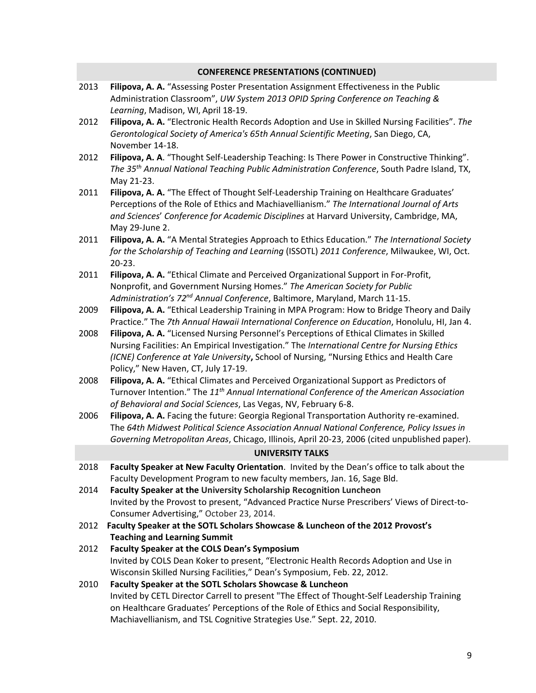| <b>CONFERENCE PRESENTATIONS (CONTINUED)</b> |                                                                                                                                                                                                                                                                                                                             |  |
|---------------------------------------------|-----------------------------------------------------------------------------------------------------------------------------------------------------------------------------------------------------------------------------------------------------------------------------------------------------------------------------|--|
| 2013                                        | Filipova, A. A. "Assessing Poster Presentation Assignment Effectiveness in the Public<br>Administration Classroom", UW System 2013 OPID Spring Conference on Teaching &<br>Learning, Madison, WI, April 18-19.                                                                                                              |  |
| 2012                                        | Filipova, A. A. "Electronic Health Records Adoption and Use in Skilled Nursing Facilities". The<br>Gerontological Society of America's 65th Annual Scientific Meeting, San Diego, CA,<br>November 14-18.                                                                                                                    |  |
| 2012                                        | Filipova, A. A. "Thought Self-Leadership Teaching: Is There Power in Constructive Thinking".<br>The 35 <sup>th</sup> Annual National Teaching Public Administration Conference, South Padre Island, TX,<br>May 21-23.                                                                                                       |  |
| 2011                                        | Filipova, A. A. "The Effect of Thought Self-Leadership Training on Healthcare Graduates'<br>Perceptions of the Role of Ethics and Machiavellianism." The International Journal of Arts<br>and Sciences' Conference for Academic Disciplines at Harvard University, Cambridge, MA,<br>May 29-June 2.                         |  |
| 2011                                        | Filipova, A. A. "A Mental Strategies Approach to Ethics Education." The International Society<br>for the Scholarship of Teaching and Learning (ISSOTL) 2011 Conference, Milwaukee, WI, Oct.<br>$20 - 23.$                                                                                                                   |  |
| 2011                                        | Filipova, A. A. "Ethical Climate and Perceived Organizational Support in For-Profit,<br>Nonprofit, and Government Nursing Homes." The American Society for Public<br>Administration's 72 <sup>nd</sup> Annual Conference, Baltimore, Maryland, March 11-15.                                                                 |  |
| 2009                                        | Filipova, A. A. "Ethical Leadership Training in MPA Program: How to Bridge Theory and Daily<br>Practice." The 7th Annual Hawaii International Conference on Education, Honolulu, HI, Jan 4.                                                                                                                                 |  |
| 2008                                        | Filipova, A. A. "Licensed Nursing Personnel's Perceptions of Ethical Climates in Skilled<br>Nursing Facilities: An Empirical Investigation." The International Centre for Nursing Ethics<br>(ICNE) Conference at Yale University, School of Nursing, "Nursing Ethics and Health Care<br>Policy," New Haven, CT, July 17-19. |  |
| 2008                                        | Filipova, A. A. "Ethical Climates and Perceived Organizational Support as Predictors of<br>Turnover Intention." The 11 <sup>th</sup> Annual International Conference of the American Association<br>of Behavioral and Social Sciences, Las Vegas, NV, February 6-8.                                                         |  |
| 2006                                        | Filipova, A. A. Facing the future: Georgia Regional Transportation Authority re-examined.<br>The 64th Midwest Political Science Association Annual National Conference, Policy Issues in<br>Governing Metropolitan Areas, Chicago, Illinois, April 20-23, 2006 (cited unpublished paper).                                   |  |
|                                             | <b>UNIVERSITY TALKS</b>                                                                                                                                                                                                                                                                                                     |  |
| 2018                                        | Faculty Speaker at New Faculty Orientation. Invited by the Dean's office to talk about the<br>Faculty Development Program to new faculty members, Jan. 16, Sage Bld.                                                                                                                                                        |  |
| 2014                                        | Faculty Speaker at the University Scholarship Recognition Luncheon<br>Invited by the Provost to present, "Advanced Practice Nurse Prescribers' Views of Direct-to-<br>Consumer Advertising," October 23, 2014.                                                                                                              |  |
| 2012                                        | Faculty Speaker at the SOTL Scholars Showcase & Luncheon of the 2012 Provost's                                                                                                                                                                                                                                              |  |
|                                             | <b>Teaching and Learning Summit</b>                                                                                                                                                                                                                                                                                         |  |
| 2012                                        | <b>Faculty Speaker at the COLS Dean's Symposium</b><br>Invited by COLS Dean Koker to present, "Electronic Health Records Adoption and Use in<br>Wisconsin Skilled Nursing Facilities," Dean's Symposium, Feb. 22, 2012.                                                                                                     |  |
| 2010                                        | Faculty Speaker at the SOTL Scholars Showcase & Luncheon<br>Invited by CETL Director Carrell to present "The Effect of Thought-Self Leadership Training<br>on Healthcare Graduates' Perceptions of the Role of Ethics and Social Responsibility,<br>Machiavellianism, and TSL Cognitive Strategies Use." Sept. 22, 2010.    |  |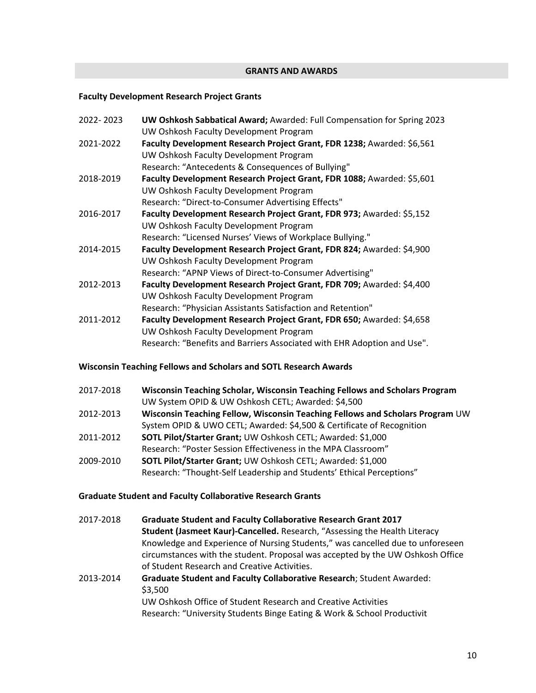# **GRANTS AND AWARDS**

# **Faculty Development Research Project Grants**

| 2022-2023 | UW Oshkosh Sabbatical Award; Awarded: Full Compensation for Spring 2023 |
|-----------|-------------------------------------------------------------------------|
|           | UW Oshkosh Faculty Development Program                                  |
| 2021-2022 | Faculty Development Research Project Grant, FDR 1238; Awarded: \$6,561  |
|           | UW Oshkosh Faculty Development Program                                  |
|           | Research: "Antecedents & Consequences of Bullying"                      |
| 2018-2019 | Faculty Development Research Project Grant, FDR 1088; Awarded: \$5,601  |
|           | UW Oshkosh Faculty Development Program                                  |
|           | Research: "Direct-to-Consumer Advertising Effects"                      |
| 2016-2017 | Faculty Development Research Project Grant, FDR 973; Awarded: \$5,152   |
|           | UW Oshkosh Faculty Development Program                                  |
|           | Research: "Licensed Nurses' Views of Workplace Bullying."               |
| 2014-2015 | Faculty Development Research Project Grant, FDR 824; Awarded: \$4,900   |
|           | UW Oshkosh Faculty Development Program                                  |
|           | Research: "APNP Views of Direct-to-Consumer Advertising"                |
| 2012-2013 | Faculty Development Research Project Grant, FDR 709; Awarded: \$4,400   |
|           | UW Oshkosh Faculty Development Program                                  |
|           | Research: "Physician Assistants Satisfaction and Retention"             |
| 2011-2012 | Faculty Development Research Project Grant, FDR 650; Awarded: \$4,658   |
|           | UW Oshkosh Faculty Development Program                                  |
|           | Research: "Benefits and Barriers Associated with EHR Adoption and Use". |

# **Wisconsin Teaching Fellows and Scholars and SOTL Research Awards**

| 2017-2018 | Wisconsin Teaching Scholar, Wisconsin Teaching Fellows and Scholars Program   |
|-----------|-------------------------------------------------------------------------------|
|           | UW System OPID & UW Oshkosh CETL; Awarded: \$4,500                            |
| 2012-2013 | Wisconsin Teaching Fellow, Wisconsin Teaching Fellows and Scholars Program UW |
|           | System OPID & UWO CETL; Awarded: \$4,500 & Certificate of Recognition         |
| 2011-2012 | SOTL Pilot/Starter Grant; UW Oshkosh CETL; Awarded: \$1,000                   |
|           | Research: "Poster Session Effectiveness in the MPA Classroom"                 |
| 2009-2010 | SOTL Pilot/Starter Grant; UW Oshkosh CETL; Awarded: \$1,000                   |
|           | Research: "Thought-Self Leadership and Students' Ethical Perceptions"         |

# **Graduate Student and Faculty Collaborative Research Grants**

| 2017-2018 | <b>Graduate Student and Faculty Collaborative Research Grant 2017</b>          |
|-----------|--------------------------------------------------------------------------------|
|           | Student (Jasmeet Kaur)-Cancelled. Research, "Assessing the Health Literacy     |
|           | Knowledge and Experience of Nursing Students," was cancelled due to unforeseen |
|           | circumstances with the student. Proposal was accepted by the UW Oshkosh Office |
|           | of Student Research and Creative Activities.                                   |
| 2013-2014 | <b>Graduate Student and Faculty Collaborative Research; Student Awarded:</b>   |
|           | \$3,500                                                                        |
|           | UW Oshkosh Office of Student Research and Creative Activities                  |
|           | Research: "University Students Binge Eating & Work & School Productivit        |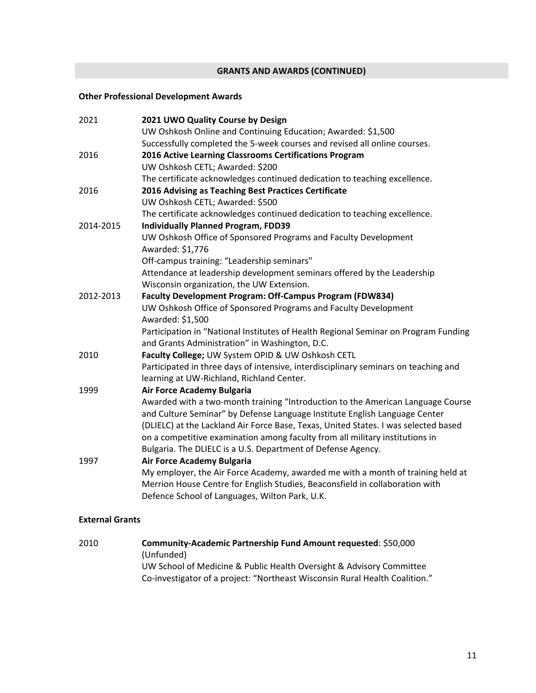### **GRANTS AND AWARDS (CONTINUED)**

# **Other Professional Development Awards**

| 2021      | 2021 UWO Quality Course by Design                                                   |
|-----------|-------------------------------------------------------------------------------------|
|           | UW Oshkosh Online and Continuing Education; Awarded: \$1,500                        |
|           | Successfully completed the 5-week courses and revised all online courses.           |
| 2016      | 2016 Active Learning Classrooms Certifications Program                              |
|           | UW Oshkosh CETL; Awarded: \$200                                                     |
|           | The certificate acknowledges continued dedication to teaching excellence.           |
| 2016      | 2016 Advising as Teaching Best Practices Certificate                                |
|           | UW Oshkosh CETL; Awarded: \$500                                                     |
|           | The certificate acknowledges continued dedication to teaching excellence.           |
| 2014-2015 | <b>Individually Planned Program, FDD39</b>                                          |
|           | UW Oshkosh Office of Sponsored Programs and Faculty Development                     |
|           | Awarded: \$1,776                                                                    |
|           | Off-campus training: "Leadership seminars"                                          |
|           | Attendance at leadership development seminars offered by the Leadership             |
|           | Wisconsin organization, the UW Extension.                                           |
| 2012-2013 | Faculty Development Program: Off-Campus Program (FDW834)                            |
|           | UW Oshkosh Office of Sponsored Programs and Faculty Development                     |
|           | Awarded: \$1,500                                                                    |
|           | Participation in "National Institutes of Health Regional Seminar on Program Funding |
|           | and Grants Administration" in Washington, D.C.                                      |
| 2010      | Faculty College; UW System OPID & UW Oshkosh CETL                                   |
|           | Participated in three days of intensive, interdisciplinary seminars on teaching and |
|           | learning at UW-Richland, Richland Center.                                           |
| 1999      | <b>Air Force Academy Bulgaria</b>                                                   |
|           | Awarded with a two-month training "Introduction to the American Language Course     |
|           | and Culture Seminar" by Defense Language Institute English Language Center          |
|           | (DLIELC) at the Lackland Air Force Base, Texas, United States. I was selected based |
|           | on a competitive examination among faculty from all military institutions in        |
|           | Bulgaria. The DLIELC is a U.S. Department of Defense Agency.                        |
| 1997      | <b>Air Force Academy Bulgaria</b>                                                   |
|           | My employer, the Air Force Academy, awarded me with a month of training held at     |
|           | Merrion House Centre for English Studies, Beaconsfield in collaboration with        |
|           | Defence School of Languages, Wilton Park, U.K.                                      |

#### **External Grants**

2010 **Community-Academic Partnership Fund Amount requested**: \$50,000 (Unfunded) UW School of Medicine & Public Health Oversight & Advisory Committee Co-investigator of a project: "Northeast Wisconsin Rural Health Coalition."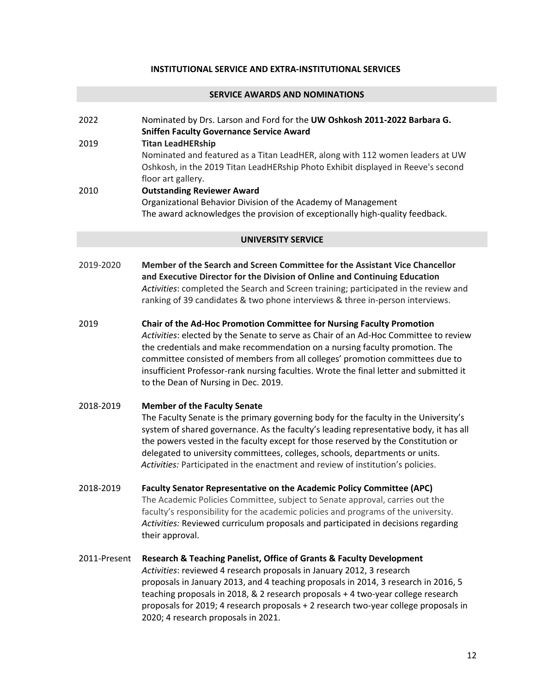### **INSTITUTIONAL SERVICE AND EXTRA-INSTITUTIONAL SERVICES**

#### **SERVICE AWARDS AND NOMINATIONS**

2022 Nominated by Drs. Larson and Ford for the **UW Oshkosh 2011-2022 Barbara G. Sniffen Faculty Governance Service Award**  2019 **Titan LeadHERship** Nominated and featured as a Titan LeadHER, along with 112 women leaders at UW Oshkosh, in the 2019 Titan LeadHERship Photo Exhibit displayed in Reeve's second floor art gallery. 2010 **Outstanding Reviewer Award** Organizational Behavior Division of the Academy of Management The award acknowledges the provision of exceptionally high-quality feedback.

#### **UNIVERSITY SERVICE**

- 2019-2020 **Member of the Search and Screen Committee for the Assistant Vice Chancellor and Executive Director for the Division of Online and Continuing Education** *Activities*: completed the Search and Screen training; participated in the review and ranking of 39 candidates & two phone interviews & three in-person interviews.
- 2019 **Chair of the Ad-Hoc Promotion Committee for Nursing Faculty Promotion** *Activities*: elected by the Senate to serve as Chair of an Ad-Hoc Committee to review the credentials and make recommendation on a nursing faculty promotion. The committee consisted of members from all colleges' promotion committees due to insufficient Professor-rank nursing faculties. Wrote the final letter and submitted it to the Dean of Nursing in Dec. 2019.
- 2018-2019 **Member of the Faculty Senate** The Faculty Senate is the primary governing body for the faculty in the University's system of shared governance. As the faculty's leading representative body, it has all the powers vested in the faculty except for those reserved by the Constitution or delegated to university committees, colleges, schools, departments or units. *Activities:* Participated in the enactment and review of institution's policies.
- 2018-2019 **Faculty Senator Representative on the Academic Policy Committee (APC)** The Academic Policies Committee, subject to Senate approval, carries out the faculty's responsibility for the academic policies and programs of the university. *Activities:* Reviewed curriculum proposals and participated in decisions regarding their approval.
- 2011-Present **Research & Teaching Panelist, Office of Grants & Faculty Development**  *Activities*: reviewed 4 research proposals in January 2012, 3 research proposals in January 2013, and 4 teaching proposals in 2014, 3 research in 2016, 5 teaching proposals in 2018, & 2 research proposals + 4 two-year college research proposals for 2019; 4 research proposals + 2 research two-year college proposals in 2020; 4 research proposals in 2021.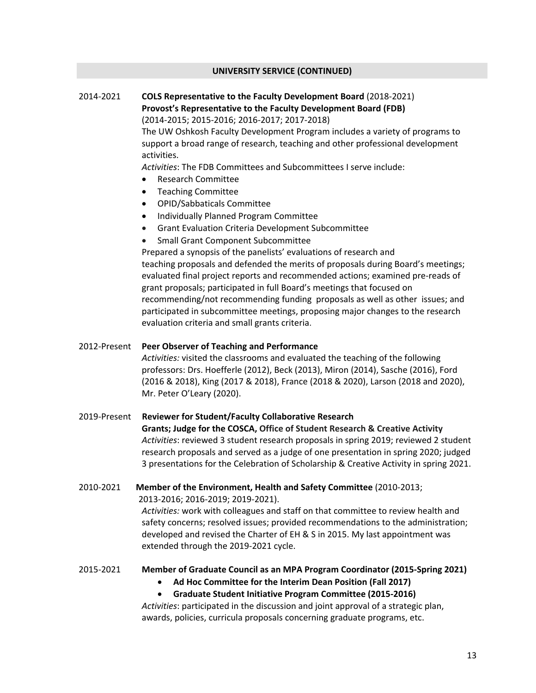### **UNIVERSITY SERVICE (CONTINUED)**

# 2014-2021 **COLS Representative to the Faculty Development Board** (2018-2021) **Provost's Representative to the Faculty Development Board (FDB)**  (2014-2015; 2015-2016; 2016-2017; 2017-2018)

The UW Oshkosh Faculty Development Program includes a variety of programs to support a broad range of research, teaching and other professional development activities.

*Activities*: The FDB Committees and Subcommittees I serve include:

- Research Committee
- Teaching Committee
- OPID/Sabbaticals Committee
- Individually Planned Program Committee
- Grant Evaluation Criteria Development Subcommittee
- Small Grant Component Subcommittee

 Prepared a synopsis of the panelists' evaluations of research and teaching proposals and defended the merits of proposals during Board's meetings; evaluated final project reports and recommended actions; examined pre-reads of grant proposals; participated in full Board's meetings that focused on recommending/not recommending funding proposals as well as other issues; and participated in subcommittee meetings, proposing major changes to the research evaluation criteria and small grants criteria.

2012-Present **Peer Observer of Teaching and Performance** *Activities:* visited the classrooms and evaluated the teaching of the following professors: Drs. Hoefferle (2012), Beck (2013), Miron (2014), Sasche (2016), Ford (2016 & 2018), King (2017 & 2018), France (2018 & 2020), Larson (2018 and 2020), Mr. Peter O'Leary (2020).

# 2019-Present **Reviewer for Student/Faculty Collaborative Research Grants; Judge for the COSCA, Office of Student Research & Creative Activity**  *Activities*: reviewed 3 student research proposals in spring 2019; reviewed 2 student research proposals and served as a judge of one presentation in spring 2020; judged 3 presentations for the Celebration of Scholarship & Creative Activity in spring 2021.

2010-2021 **Member of the Environment, Health and Safety Committee** (2010-2013; 2013-2016; 2016-2019; 2019-2021). *Activities:* work with colleagues and staff on that committee to review health and safety concerns; resolved issues; provided recommendations to the administration; developed and revised the Charter of EH & S in 2015. My last appointment was extended through the 2019-2021 cycle.

#### 2015-2021 **Member of Graduate Council as an MPA Program Coordinator (2015-Spring 2021)**

• **Ad Hoc Committee for the Interim Dean Position (Fall 2017)**

• **Graduate Student Initiative Program Committee (2015-2016)**

*Activities*: participated in the discussion and joint approval of a strategic plan, awards, policies, curricula proposals concerning graduate programs, etc.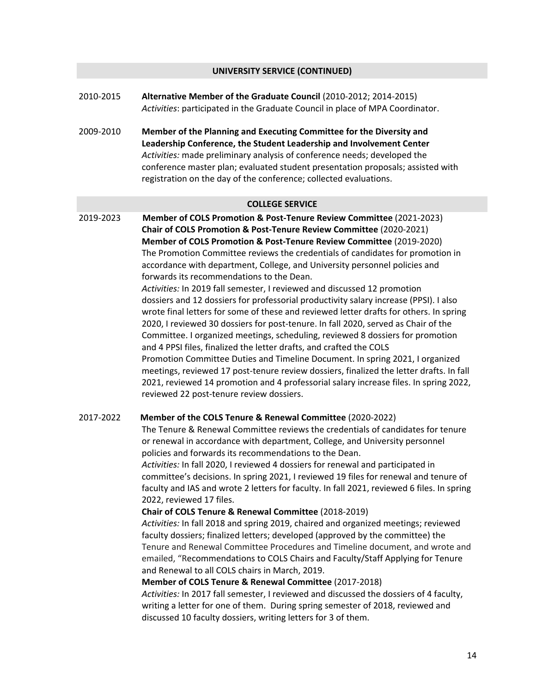### **UNIVERSITY SERVICE (CONTINUED)**

- 2010-2015 **Alternative Member of the Graduate Council** (2010-2012; 2014-2015) *Activities*: participated in the Graduate Council in place of MPA Coordinator.
- 2009-2010 **Member of the Planning and Executing Committee for the Diversity and Leadership Conference, the Student Leadership and Involvement Center** *Activities:* made preliminary analysis of conference needs; developed the conference master plan; evaluated student presentation proposals; assisted with registration on the day of the conference; collected evaluations.

#### **COLLEGE SERVICE**

2019-2023 **Member of COLS Promotion & Post-Tenure Review Committee** (2021-2023) **Chair of COLS Promotion & Post-Tenure Review Committee** (2020-2021) **Member of COLS Promotion & Post-Tenure Review Committee** (2019-2020) The Promotion Committee reviews the credentials of candidates for promotion in accordance with department, College, and University personnel policies and forwards its recommendations to the Dean.

> *Activities:* In 2019 fall semester, I reviewed and discussed 12 promotion dossiers and 12 dossiers for professorial productivity salary increase (PPSI). I also wrote final letters for some of these and reviewed letter drafts for others. In spring 2020, I reviewed 30 dossiers for post-tenure. In fall 2020, served as Chair of the Committee. I organized meetings, scheduling, reviewed 8 dossiers for promotion and 4 PPSI files, finalized the letter drafts, and crafted the COLS Promotion Committee Duties and Timeline Document. In spring 2021, I organized meetings, reviewed 17 post-tenure review dossiers, finalized the letter drafts. In fall 2021, reviewed 14 promotion and 4 professorial salary increase files. In spring 2022, reviewed 22 post-tenure review dossiers.

#### 2017-2022 **Member of the COLS Tenure & Renewal Committee** (2020-2022)

The Tenure & Renewal Committee reviews the credentials of candidates for tenure or renewal in accordance with department, College, and University personnel policies and forwards its recommendations to the Dean.

*Activities:* In fall 2020, I reviewed 4 dossiers for renewal and participated in committee's decisions. In spring 2021, I reviewed 19 files for renewal and tenure of faculty and IAS and wrote 2 letters for faculty. In fall 2021, reviewed 6 files. In spring 2022, reviewed 17 files.

#### **Chair of COLS Tenure & Renewal Committee** (2018-2019)

*Activities:* In fall 2018 and spring 2019, chaired and organized meetings; reviewed faculty dossiers; finalized letters; developed (approved by the committee) the Tenure and Renewal Committee Procedures and Timeline document, and wrote and emailed, "Recommendations to COLS Chairs and Faculty/Staff Applying for Tenure and Renewal to all COLS chairs in March, 2019.

#### **Member of COLS Tenure & Renewal Committee** (2017-2018)

*Activities:* In 2017 fall semester, I reviewed and discussed the dossiers of 4 faculty, writing a letter for one of them. During spring semester of 2018, reviewed and discussed 10 faculty dossiers, writing letters for 3 of them.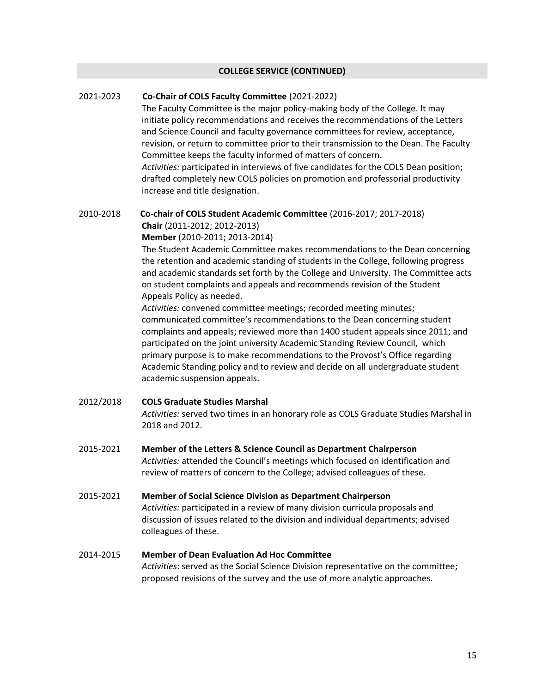#### **COLLEGE SERVICE (CONTINUED)**

# 2021-2023 **Co-Chair of COLS Faculty Committee** (2021-2022)

The Faculty Committee is the major policy-making body of the College. It may initiate policy recommendations and receives the recommendations of the Letters and Science Council and faculty governance committees for review, acceptance, revision, or return to committee prior to their transmission to the Dean. The Faculty Committee keeps the faculty informed of matters of concern. *Activities:* participated in interviews of five candidates for the COLS Dean position; drafted completely new COLS policies on promotion and professorial productivity increase and title designation.

### 2010-2018 **Co-chair of COLS Student Academic Committee** (2016-2017; 2017-2018) **Chair** (2011-2012; 2012-2013) **Member** (2010-2011; 2013-2014)

The Student Academic Committee makes recommendations to the Dean concerning the retention and academic standing of students in the College, following progress and academic standards set forth by the College and University. The Committee acts on student complaints and appeals and recommends revision of the Student Appeals Policy as needed.

*Activities:* convened committee meetings; recorded meeting minutes; communicated committee's recommendations to the Dean concerning student complaints and appeals; reviewed more than 1400 student appeals since 2011; and participated on the joint university Academic Standing Review Council, which primary purpose is to make recommendations to the Provost's Office regarding Academic Standing policy and to review and decide on all undergraduate student academic suspension appeals.

#### 2012/2018 **COLS Graduate Studies Marshal**

*Activities:* served two times in an honorary role as COLS Graduate Studies Marshal in 2018 and 2012.

- 2015-2021 **Member of the Letters & Science Council as Department Chairperson** *Activities:* attended the Council's meetings which focused on identification and review of matters of concern to the College; advised colleagues of these.
- 2015-2021 **Member of Social Science Division as Department Chairperson** *Activities:* participated in a review of many division curricula proposals and discussion of issues related to the division and individual departments; advised colleagues of these.
- 2014-2015 **Member of Dean Evaluation Ad Hoc Committee** *Activities*: served as the Social Science Division representative on the committee; proposed revisions of the survey and the use of more analytic approaches.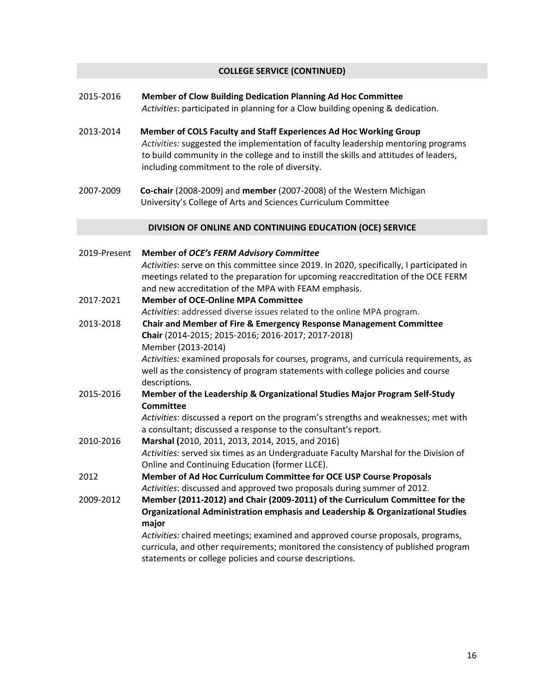# **COLLEGE SERVICE (CONTINUED)**

- 2015-2016 **Member of Clow Building Dedication Planning Ad Hoc Committee** *Activities*: participated in planning for a Clow building opening & dedication.
- 2013-2014 **Member of COLS Faculty and Staff Experiences Ad Hoc Working Group** *Activities:* suggested the implementation of faculty leadership mentoring programs to build community in the college and to instill the skills and attitudes of leaders, including commitment to the role of diversity.
- 2007-2009 **Co-chair** (2008-2009) and **member** (2007-2008) of the Western Michigan University's College of Arts and Sciences Curriculum Committee

#### **DIVISION OF ONLINE AND CONTINUING EDUCATION (OCE) SERVICE**

| 2019-Present | <b>Member of OCE's FERM Advisory Committee</b>                                           |
|--------------|------------------------------------------------------------------------------------------|
|              | Activities: serve on this committee since 2019. In 2020, specifically, I participated in |
|              | meetings related to the preparation for upcoming reaccreditation of the OCE FERM         |
|              | and new accreditation of the MPA with FEAM emphasis.                                     |
| 2017-2021    | <b>Member of OCE-Online MPA Committee</b>                                                |
|              | Activities: addressed diverse issues related to the online MPA program.                  |
| 2013-2018    | Chair and Member of Fire & Emergency Response Management Committee                       |
|              | Chair (2014-2015; 2015-2016; 2016-2017; 2017-2018)                                       |
|              | Member (2013-2014)                                                                       |
|              | Activities: examined proposals for courses, programs, and curricula requirements, as     |
|              | well as the consistency of program statements with college policies and course           |
|              | descriptions.                                                                            |
| 2015-2016    | Member of the Leadership & Organizational Studies Major Program Self-Study               |
|              | Committee                                                                                |
|              | Activities: discussed a report on the program's strengths and weaknesses; met with       |
|              | a consultant; discussed a response to the consultant's report.                           |
| 2010-2016    | Marshal (2010, 2011, 2013, 2014, 2015, and 2016)                                         |
|              | Activities: served six times as an Undergraduate Faculty Marshal for the Division of     |
|              | Online and Continuing Education (former LLCE).                                           |
| 2012         | Member of Ad Hoc Curriculum Committee for OCE USP Course Proposals                       |
|              | Activities: discussed and approved two proposals during summer of 2012.                  |
| 2009-2012    | Member (2011-2012) and Chair (2009-2011) of the Curriculum Committee for the             |
|              | Organizational Administration emphasis and Leadership & Organizational Studies           |
|              | major                                                                                    |
|              | Activities: chaired meetings; examined and approved course proposals, programs,          |
|              | curricula, and other requirements; monitored the consistency of published program        |
|              | statements or college policies and course descriptions.                                  |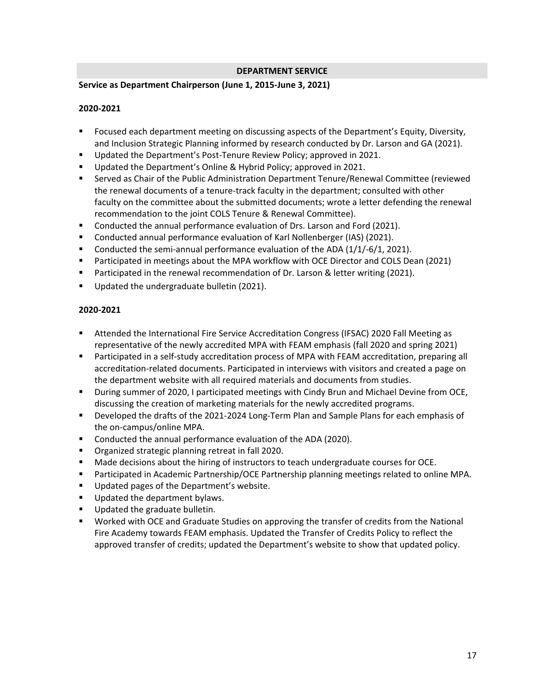# **DEPARTMENT SERVICE**

# **Service as Department Chairperson (June 1, 2015-June 3, 2021)**

### **2020-2021**

- Focused each department meeting on discussing aspects of the Department's Equity, Diversity, and Inclusion Strategic Planning informed by research conducted by Dr. Larson and GA (2021).
- Updated the Department's Post-Tenure Review Policy; approved in 2021.
- Updated the Department's Online & Hybrid Policy; approved in 2021.
- Served as Chair of the Public Administration Department Tenure/Renewal Committee (reviewed the renewal documents of a tenure-track faculty in the department; consulted with other faculty on the committee about the submitted documents; wrote a letter defending the renewal recommendation to the joint COLS Tenure & Renewal Committee).
- Conducted the annual performance evaluation of Drs. Larson and Ford (2021).
- Conducted annual performance evaluation of Karl Nollenberger (IAS) (2021).
- Conducted the semi-annual performance evaluation of the ADA (1/1/-6/1, 2021).
- Participated in meetings about the MPA workflow with OCE Director and COLS Dean (2021)
- Participated in the renewal recommendation of Dr. Larson & letter writing (2021).
- Updated the undergraduate bulletin (2021).

# **2020-2021**

- Attended the International Fire Service Accreditation Congress (IFSAC) 2020 Fall Meeting as representative of the newly accredited MPA with FEAM emphasis (fall 2020 and spring 2021)
- Participated in a self-study accreditation process of MPA with FEAM accreditation, preparing all accreditation-related documents. Participated in interviews with visitors and created a page on the department website with all required materials and documents from studies.
- During summer of 2020, I participated meetings with Cindy Brun and Michael Devine from OCE, discussing the creation of marketing materials for the newly accredited programs.
- Developed the drafts of the 2021-2024 Long-Term Plan and Sample Plans for each emphasis of the on-campus/online MPA.
- Conducted the annual performance evaluation of the ADA (2020).
- Organized strategic planning retreat in fall 2020.
- **■** Made decisions about the hiring of instructors to teach undergraduate courses for OCE.
- Participated in Academic Partnership/OCE Partnership planning meetings related to online MPA.
- Updated pages of the Department's website.
- Updated the department bylaws.
- Updated the graduate bulletin.
- Worked with OCE and Graduate Studies on approving the transfer of credits from the National Fire Academy towards FEAM emphasis. Updated the Transfer of Credits Policy to reflect the approved transfer of credits; updated the Department's website to show that updated policy.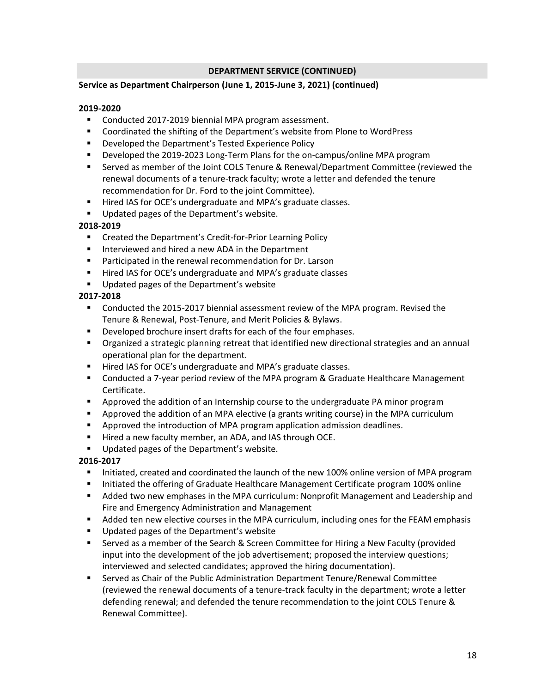# **DEPARTMENT SERVICE (CONTINUED)**

# **Service as Department Chairperson (June 1, 2015-June 3, 2021) (continued)**

# **2019-2020**

- Conducted 2017-2019 biennial MPA program assessment.
- Coordinated the shifting of the Department's website from Plone to WordPress
- Developed the Department's Tested Experience Policy
- Developed the 2019-2023 Long-Term Plans for the on-campus/online MPA program
- Served as member of the Joint COLS Tenure & Renewal/Department Committee (reviewed the renewal documents of a tenure-track faculty; wrote a letter and defended the tenure recommendation for Dr. Ford to the joint Committee).
- Hired IAS for OCE's undergraduate and MPA's graduate classes.
- Updated pages of the Department's website.

### **2018-2019**

- Created the Department's Credit-for-Prior Learning Policy
- Interviewed and hired a new ADA in the Department
- Participated in the renewal recommendation for Dr. Larson
- Hired IAS for OCE's undergraduate and MPA's graduate classes
- Updated pages of the Department's website

### **2017-2018**

- Conducted the 2015-2017 biennial assessment review of the MPA program. Revised the Tenure & Renewal, Post-Tenure, and Merit Policies & Bylaws.
- Developed brochure insert drafts for each of the four emphases.
- Organized a strategic planning retreat that identified new directional strategies and an annual operational plan for the department.
- Hired IAS for OCE's undergraduate and MPA's graduate classes.
- Conducted a 7-year period review of the MPA program & Graduate Healthcare Management Certificate.
- Approved the addition of an Internship course to the undergraduate PA minor program
- Approved the addition of an MPA elective (a grants writing course) in the MPA curriculum
- Approved the introduction of MPA program application admission deadlines.
- Hired a new faculty member, an ADA, and IAS through OCE.
- Updated pages of the Department's website.

# **2016-2017**

- **E** Initiated, created and coordinated the launch of the new 100% online version of MPA program
- Initiated the offering of Graduate Healthcare Management Certificate program 100% online
- Added two new emphases in the MPA curriculum: Nonprofit Management and Leadership and Fire and Emergency Administration and Management
- Added ten new elective courses in the MPA curriculum, including ones for the FEAM emphasis
- Updated pages of the Department's website
- **EXE** Served as a member of the Search & Screen Committee for Hiring a New Faculty (provided input into the development of the job advertisement; proposed the interview questions; interviewed and selected candidates; approved the hiring documentation).
- **■** Served as Chair of the Public Administration Department Tenure/Renewal Committee (reviewed the renewal documents of a tenure-track faculty in the department; wrote a letter defending renewal; and defended the tenure recommendation to the joint COLS Tenure & Renewal Committee).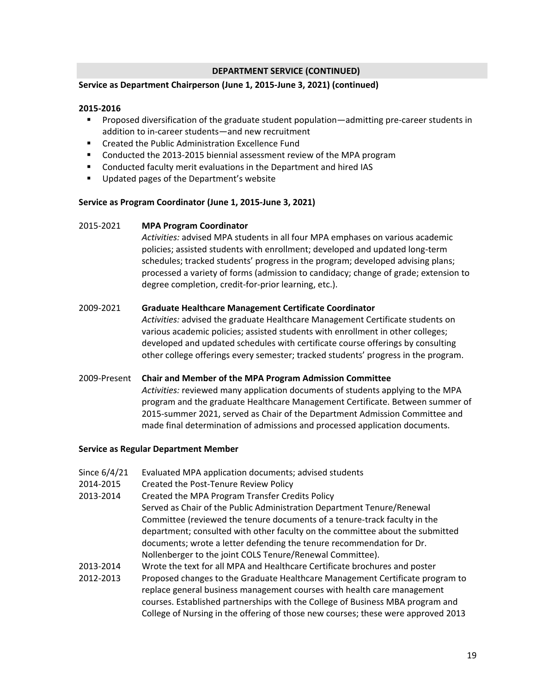# **DEPARTMENT SERVICE (CONTINUED)**

### **Service as Department Chairperson (June 1, 2015-June 3, 2021) (continued)**

#### **2015-2016**

- Proposed diversification of the graduate student population—admitting pre-career students in addition to in-career students—and new recruitment
- Created the Public Administration Excellence Fund
- Conducted the 2013-2015 biennial assessment review of the MPA program
- Conducted faculty merit evaluations in the Department and hired IAS
- Updated pages of the Department's website

### **Service as Program Coordinator (June 1, 2015-June 3, 2021)**

### 2015-2021 **MPA Program Coordinator**

*Activities:* advised MPA students in all four MPA emphases on various academic policies; assisted students with enrollment; developed and updated long-term schedules; tracked students' progress in the program; developed advising plans; processed a variety of forms (admission to candidacy; change of grade; extension to degree completion, credit-for-prior learning, etc.).

# 2009-2021 **Graduate Healthcare Management Certificate Coordinator**

*Activities:* advised the graduate Healthcare Management Certificate students on various academic policies; assisted students with enrollment in other colleges; developed and updated schedules with certificate course offerings by consulting other college offerings every semester; tracked students' progress in the program.

# 2009-Present **Chair and Member of the MPA Program Admission Committee**

*Activities:* reviewed many application documents of students applying to the MPA program and the graduate Healthcare Management Certificate. Between summer of 2015-summer 2021, served as Chair of the Department Admission Committee and made final determination of admissions and processed application documents.

#### **Service as Regular Department Member**

- Since 6/4/21 Evaluated MPA application documents; advised students
- 2014-2015 Created the Post-Tenure Review Policy
- 2013-2014 Created the MPA Program Transfer Credits Policy Served as Chair of the Public Administration Department Tenure/Renewal Committee (reviewed the tenure documents of a tenure-track faculty in the department; consulted with other faculty on the committee about the submitted documents; wrote a letter defending the tenure recommendation for Dr.
- Nollenberger to the joint COLS Tenure/Renewal Committee). 2013-2014 Wrote the text for all MPA and Healthcare Certificate brochures and poster
- 2012-2013 Proposed changes to the Graduate Healthcare Management Certificate program to replace general business management courses with health care management courses. Established partnerships with the College of Business MBA program and College of Nursing in the offering of those new courses; these were approved 2013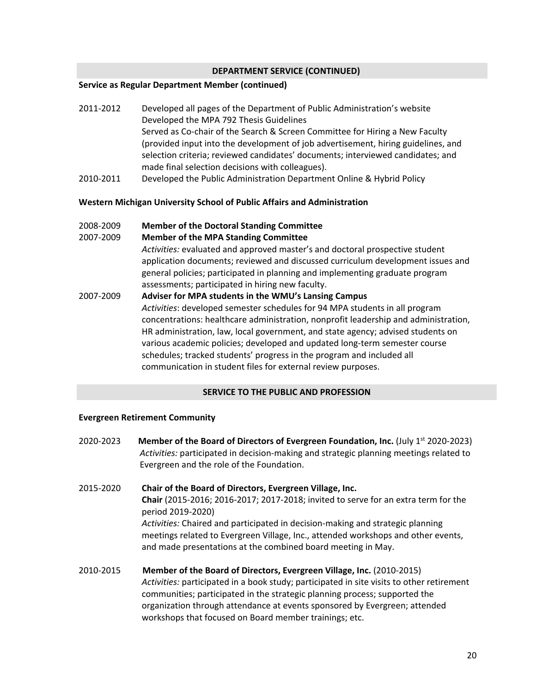# **DEPARTMENT SERVICE (CONTINUED)**

#### **Service as Regular Department Member (continued)**

- 2011-2012 Developed all pages of the Department of Public Administration's website Developed the MPA 792 Thesis Guidelines Served as Co-chair of the Search & Screen Committee for Hiring a New Faculty (provided input into the development of job advertisement, hiring guidelines, and selection criteria; reviewed candidates' documents; interviewed candidates; and made final selection decisions with colleagues).
- 2010-2011 Developed the Public Administration Department Online & Hybrid Policy

### **Western Michigan University School of Public Affairs and Administration**

2008-2009 **Member of the Doctoral Standing Committee** 

### 2007-2009 **Member of the MPA Standing Committee**

*Activities:* evaluated and approved master's and doctoral prospective student application documents; reviewed and discussed curriculum development issues and general policies; participated in planning and implementing graduate program assessments; participated in hiring new faculty.

2007-2009 **Adviser for MPA students in the WMU's Lansing Campus** *Activities*: developed semester schedules for 94 MPA students in all program concentrations: healthcare administration, nonprofit leadership and administration, HR administration, law, local government, and state agency; advised students on various academic policies; developed and updated long-term semester course schedules; tracked students' progress in the program and included all communication in student files for external review purposes.

#### **SERVICE TO THE PUBLIC AND PROFESSION**

#### **Evergreen Retirement Community**

- 2020-2023 **Member of the Board of Directors of Evergreen Foundation, Inc.** (July 1st 2020-2023)  *Activities:* participated in decision-making and strategic planning meetings related to Evergreen and the role of the Foundation.
- 2015-2020 **Chair of the Board of Directors, Evergreen Village, Inc. Chair** (2015-2016; 2016-2017; 2017-2018; invited to serve for an extra term for the period 2019-2020) *Activities:* Chaired and participated in decision-making and strategic planning meetings related to Evergreen Village, Inc., attended workshops and other events, and made presentations at the combined board meeting in May.
- 2010-2015 **Member of the Board of Directors, Evergreen Village, Inc.** (2010-2015) *Activities:* participated in a book study; participated in site visits to other retirement communities; participated in the strategic planning process; supported the organization through attendance at events sponsored by Evergreen; attended workshops that focused on Board member trainings; etc.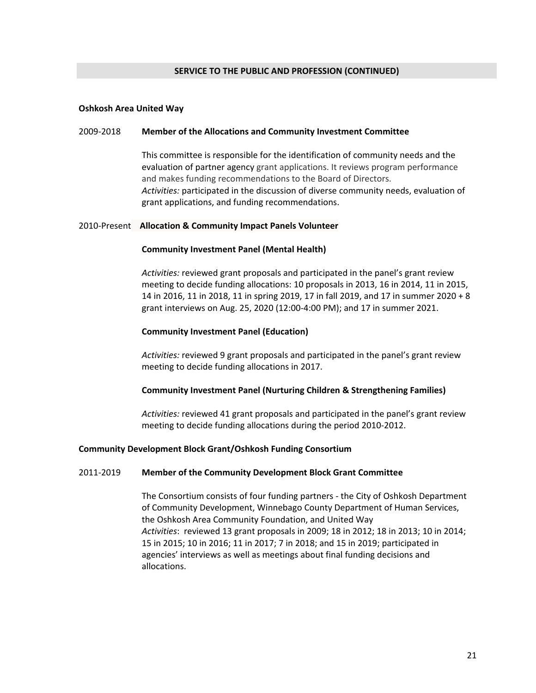#### **Oshkosh Area United Way**

#### 2009-2018 **Member of the Allocations and Community Investment Committee**

This committee is responsible for the identification of community needs and the evaluation of partner agency grant applications. It reviews program performance and makes funding recommendations to the Board of Directors. *Activities:* participated in the discussion of diverse community needs, evaluation of grant applications, and funding recommendations.

### 2010-Present **Allocation & Community Impact Panels Volunteer**

### **Community Investment Panel (Mental Health)**

*Activities:* reviewed grant proposals and participated in the panel's grant review meeting to decide funding allocations: 10 proposals in 2013, 16 in 2014, 11 in 2015, 14 in 2016, 11 in 2018, 11 in spring 2019, 17 in fall 2019, and 17 in summer 2020 + 8 grant interviews on Aug. 25, 2020 (12:00-4:00 PM); and 17 in summer 2021.

### **Community Investment Panel (Education)**

*Activities:* reviewed 9 grant proposals and participated in the panel's grant review meeting to decide funding allocations in 2017.

#### **Community Investment Panel (Nurturing Children & Strengthening Families)**

*Activities:* reviewed 41 grant proposals and participated in the panel's grant review meeting to decide funding allocations during the period 2010-2012.

#### **Community Development Block Grant/Oshkosh Funding Consortium**

#### 2011-2019 **Member of the Community Development Block Grant Committee**

The Consortium consists of four funding partners - the City of Oshkosh Department of Community Development, Winnebago County Department of Human Services, the Oshkosh Area Community Foundation, and United Way *Activities*: reviewed 13 grant proposals in 2009; 18 in 2012; 18 in 2013; 10 in 2014; 15 in 2015; 10 in 2016; 11 in 2017; 7 in 2018; and 15 in 2019; participated in agencies' interviews as well as meetings about final funding decisions and allocations.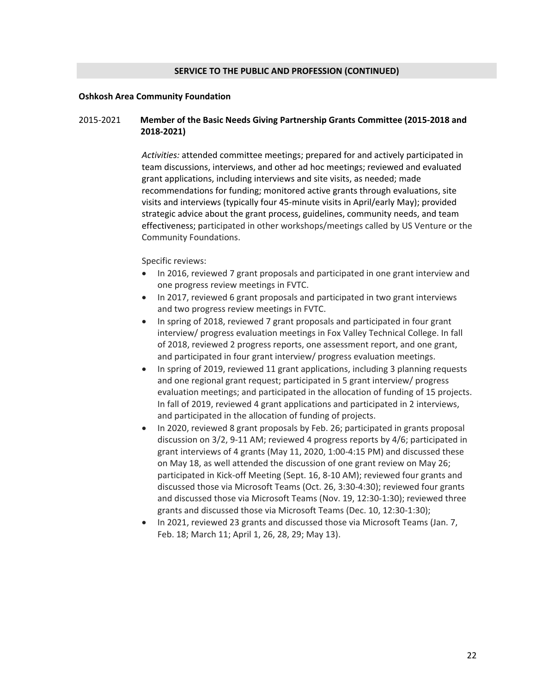#### **Oshkosh Area Community Foundation**

# 2015-2021 **Member of the Basic Needs Giving Partnership Grants Committee (2015-2018 and 2018-2021)**

*Activities:* attended committee meetings; prepared for and actively participated in team discussions, interviews, and other ad hoc meetings; reviewed and evaluated grant applications, including interviews and site visits, as needed; made recommendations for funding; monitored active grants through evaluations, site visits and interviews (typically four 45-minute visits in April/early May); provided strategic advice about the grant process, guidelines, community needs, and team effectiveness; participated in other workshops/meetings called by US Venture or the Community Foundations.

#### Specific reviews:

- In 2016, reviewed 7 grant proposals and participated in one grant interview and one progress review meetings in FVTC.
- In 2017, reviewed 6 grant proposals and participated in two grant interviews and two progress review meetings in FVTC.
- In spring of 2018, reviewed 7 grant proposals and participated in four grant interview/ progress evaluation meetings in Fox Valley Technical College. In fall of 2018, reviewed 2 progress reports, one assessment report, and one grant, and participated in four grant interview/ progress evaluation meetings.
- In spring of 2019, reviewed 11 grant applications, including 3 planning requests and one regional grant request; participated in 5 grant interview/ progress evaluation meetings; and participated in the allocation of funding of 15 projects. In fall of 2019, reviewed 4 grant applications and participated in 2 interviews, and participated in the allocation of funding of projects.
- In 2020, reviewed 8 grant proposals by Feb. 26; participated in grants proposal discussion on 3/2, 9-11 AM; reviewed 4 progress reports by 4/6; participated in grant interviews of 4 grants (May 11, 2020, 1:00-4:15 PM) and discussed these on May 18, as well attended the discussion of one grant review on May 26; participated in Kick-off Meeting (Sept. 16, 8-10 AM); reviewed four grants and discussed those via Microsoft Teams (Oct. 26, 3:30-4:30); reviewed four grants and discussed those via Microsoft Teams (Nov. 19, 12:30-1:30); reviewed three grants and discussed those via Microsoft Teams (Dec. 10, 12:30-1:30);
- In 2021, reviewed 23 grants and discussed those via Microsoft Teams (Jan. 7, Feb. 18; March 11; April 1, 26, 28, 29; May 13).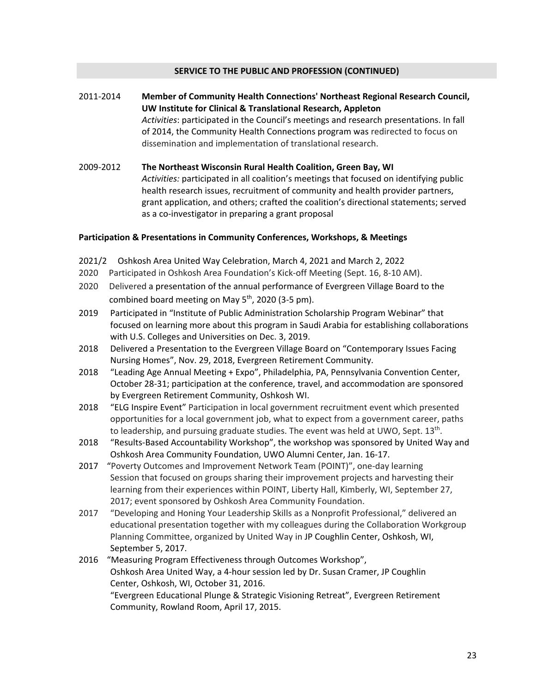- 2011-2014 **Member of Community Health Connections' Northeast Regional Research Council, UW Institute for Clinical & Translational Research, Appleton** *Activities*: participated in the Council's meetings and research presentations. In fall of 2014, the Community Health Connections program was redirected to focus on dissemination and implementation of translational research.
- 2009-2012 **The Northeast Wisconsin Rural Health Coalition, Green Bay, WI** *Activities:* participated in all coalition's meetings that focused on identifying public health research issues, recruitment of community and health provider partners, grant application, and others; crafted the coalition's directional statements; served as a co-investigator in preparing a grant proposal

# **Participation & Presentations in Community Conferences, Workshops, & Meetings**

- 2021/2 Oshkosh Area United Way Celebration, March 4, 2021 and March 2, 2022
- 2020 Participated in Oshkosh Area Foundation's Kick-off Meeting (Sept. 16, 8-10 AM).
- 2020 Delivered a presentation of the annual performance of Evergreen Village Board to the combined board meeting on May 5<sup>th</sup>, 2020 (3-5 pm).
- 2019 Participated in "Institute of Public Administration Scholarship Program Webinar" that focused on learning more about this program in Saudi Arabia for establishing collaborations with U.S. Colleges and Universities on Dec. 3, 2019.
- 2018 Delivered a Presentation to the Evergreen Village Board on "Contemporary Issues Facing Nursing Homes", Nov. 29, 2018, Evergreen Retirement Community.
- 2018 "Leading Age Annual Meeting + Expo", Philadelphia, PA, Pennsylvania Convention Center, October 28-31; participation at the conference, travel, and accommodation are sponsored by Evergreen Retirement Community, Oshkosh WI.
- 2018 "ELG Inspire Event" Participation in local government recruitment event which presented opportunities for a local government job, what to expect from a government career, paths to leadership, and pursuing graduate studies. The event was held at UWO, Sept. 13<sup>th</sup>.
- 2018 "Results-Based Accountability Workshop", the workshop was sponsored by United Way and Oshkosh Area Community Foundation, UWO Alumni Center, Jan. 16-17.
- 2017 "Poverty Outcomes and Improvement Network Team (POINT)", one-day learning Session that focused on groups sharing their improvement projects and harvesting their learning from their experiences within POINT, Liberty Hall, Kimberly, WI, September 27, 2017; event sponsored by Oshkosh Area Community Foundation.
- 2017 "Developing and Honing Your Leadership Skills as a Nonprofit Professional," delivered an educational presentation together with my colleagues during the Collaboration Workgroup Planning Committee, organized by United Way in JP Coughlin Center, Oshkosh, WI, September 5, 2017.
- 2016 "Measuring Program Effectiveness through Outcomes Workshop", Oshkosh Area United Way, a 4-hour session led by Dr. Susan Cramer, JP Coughlin Center, Oshkosh, WI, October 31, 2016. "Evergreen Educational Plunge & Strategic Visioning Retreat", Evergreen Retirement Community, Rowland Room, April 17, 2015.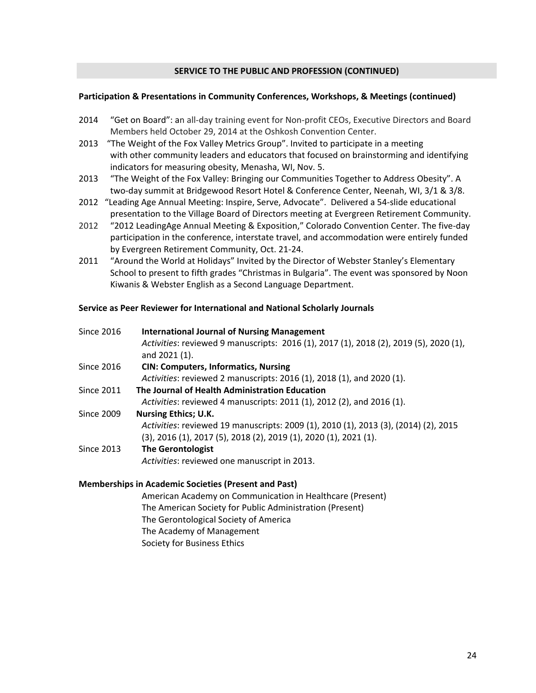#### **Participation & Presentations in Community Conferences, Workshops, & Meetings (continued)**

- 2014 "Get on Board": an all-day training event for Non-profit CEOs, Executive Directors and Board Members held October 29, 2014 at the Oshkosh Convention Center.
- 2013 "The Weight of the Fox Valley Metrics Group". Invited to participate in a meeting with other community leaders and educators that focused on brainstorming and identifying indicators for measuring obesity, Menasha, WI, Nov. 5.
- 2013 "The Weight of the Fox Valley: Bringing our Communities Together to Address Obesity". A two-day summit at Bridgewood Resort Hotel & Conference Center, Neenah, WI, 3/1 & 3/8.
- 2012 "Leading Age Annual Meeting: Inspire, Serve, Advocate". Delivered a 54-slide educational presentation to the Village Board of Directors meeting at Evergreen Retirement Community.
- 2012 "2012 LeadingAge Annual Meeting & Exposition," Colorado Convention Center. The five-day participation in the conference, interstate travel, and accommodation were entirely funded by Evergreen Retirement Community, Oct. 21-24.
- 2011 "Around the World at Holidays" Invited by the Director of Webster Stanley's Elementary School to present to fifth grades "Christmas in Bulgaria". The event was sponsored by Noon Kiwanis & Webster English as a Second Language Department.

### **Service as Peer Reviewer for International and National Scholarly Journals**

| Since 2016        | <b>International Journal of Nursing Management</b>                                    |
|-------------------|---------------------------------------------------------------------------------------|
|                   | Activities: reviewed 9 manuscripts: 2016 (1), 2017 (1), 2018 (2), 2019 (5), 2020 (1), |
|                   | and 2021 (1).                                                                         |
| Since 2016        | <b>CIN: Computers, Informatics, Nursing</b>                                           |
|                   | Activities: reviewed 2 manuscripts: 2016 (1), 2018 (1), and 2020 (1).                 |
| <b>Since 2011</b> | The Journal of Health Administration Education                                        |
|                   | Activities: reviewed 4 manuscripts: 2011 (1), 2012 (2), and 2016 (1).                 |
| <b>Since 2009</b> | <b>Nursing Ethics; U.K.</b>                                                           |
|                   | Activities: reviewed 19 manuscripts: 2009 (1), 2010 (1), 2013 (3), (2014) (2), 2015   |
|                   | (3), 2016 (1), 2017 (5), 2018 (2), 2019 (1), 2020 (1), 2021 (1).                      |
| Since 2013        | <b>The Gerontologist</b>                                                              |
|                   | Activities: reviewed one manuscript in 2013.                                          |

#### **Memberships in Academic Societies (Present and Past)**

American Academy on Communication in Healthcare (Present) The American Society for Public Administration (Present) The Gerontological Society of America The Academy of Management Society for Business Ethics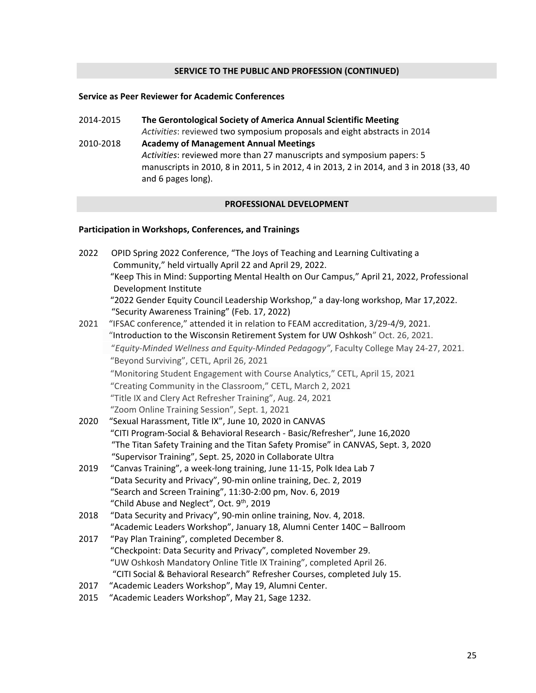# **Service as Peer Reviewer for Academic Conferences**

2014-2015 **The Gerontological Society of America Annual Scientific Meeting** *Activities*: reviewed two symposium proposals and eight abstracts in 2014 2010-2018 **Academy of Management Annual Meetings** *Activities*: reviewed more than 27 manuscripts and symposium papers: 5 manuscripts in 2010, 8 in 2011, 5 in 2012, 4 in 2013, 2 in 2014, and 3 in 2018 (33, 40 and 6 pages long).

# **PROFESSIONAL DEVELOPMENT**

# **Participation in Workshops, Conferences, and Trainings**

| 2022 | OPID Spring 2022 Conference, "The Joys of Teaching and Learning Cultivating a<br>Community," held virtually April 22 and April 29, 2022. |
|------|------------------------------------------------------------------------------------------------------------------------------------------|
|      | "Keep This in Mind: Supporting Mental Health on Our Campus," April 21, 2022, Professional<br>Development Institute                       |
|      | "2022 Gender Equity Council Leadership Workshop," a day-long workshop, Mar 17,2022.<br>"Security Awareness Training" (Feb. 17, 2022)     |
| 2021 | "IFSAC conference," attended it in relation to FEAM accreditation, 3/29-4/9, 2021.                                                       |
|      | "Introduction to the Wisconsin Retirement System for UW Oshkosh" Oct. 26, 2021.                                                          |
|      | "Equity-Minded Wellness and Equity-Minded Pedagogy", Faculty College May 24-27, 2021.                                                    |
|      | "Beyond Surviving", CETL, April 26, 2021                                                                                                 |
|      | "Monitoring Student Engagement with Course Analytics," CETL, April 15, 2021                                                              |
|      | "Creating Community in the Classroom," CETL, March 2, 2021                                                                               |
|      | "Title IX and Clery Act Refresher Training", Aug. 24, 2021                                                                               |
|      | "Zoom Online Training Session", Sept. 1, 2021                                                                                            |
| 2020 | "Sexual Harassment, Title IX", June 10, 2020 in CANVAS                                                                                   |
|      | "CITI Program-Social & Behavioral Research - Basic/Refresher", June 16,2020                                                              |
|      | "The Titan Safety Training and the Titan Safety Promise" in CANVAS, Sept. 3, 2020                                                        |
|      | "Supervisor Training", Sept. 25, 2020 in Collaborate Ultra                                                                               |
| 2019 | "Canvas Training", a week-long training, June 11-15, Polk Idea Lab 7                                                                     |
|      | "Data Security and Privacy", 90-min online training, Dec. 2, 2019                                                                        |
|      | "Search and Screen Training", 11:30-2:00 pm, Nov. 6, 2019                                                                                |
|      | "Child Abuse and Neglect", Oct. 9th, 2019                                                                                                |
| 2018 | "Data Security and Privacy", 90-min online training, Nov. 4, 2018.                                                                       |
|      | "Academic Leaders Workshop", January 18, Alumni Center 140C - Ballroom                                                                   |
| 2017 | "Pay Plan Training", completed December 8.                                                                                               |
|      | "Checkpoint: Data Security and Privacy", completed November 29.                                                                          |
|      | "UW Oshkosh Mandatory Online Title IX Training", completed April 26.                                                                     |
|      | "CITI Social & Behavioral Research" Refresher Courses, completed July 15.                                                                |
| 2017 | "Academic Leaders Workshop", May 19, Alumni Center.                                                                                      |
| 2015 | "Academic Leaders Workshop", May 21, Sage 1232.                                                                                          |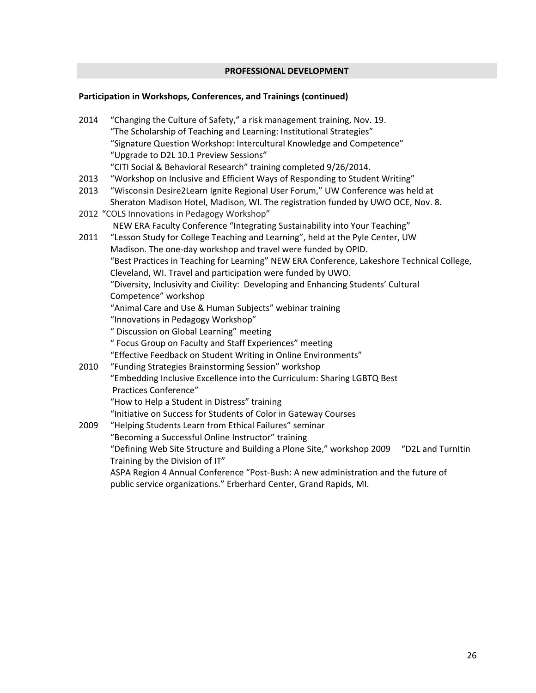# **PROFESSIONAL DEVELOPMENT**

# **Participation in Workshops, Conferences, and Trainings (continued)**

2014 "Changing the Culture of Safety," a risk management training, Nov. 19. "The Scholarship of Teaching and Learning: Institutional Strategies" "Signature Question Workshop: Intercultural Knowledge and Competence" "Upgrade to D2L 10.1 Preview Sessions" "CITI Social & Behavioral Research" training completed 9/26/2014. 2013 "Workshop on Inclusive and Efficient Ways of Responding to Student Writing" 2013 "Wisconsin Desire2Learn Ignite Regional User Forum," UW Conference was held at Sheraton Madison Hotel, Madison, WI. The registration funded by UWO OCE, Nov. 8. 2012 "COLS Innovations in Pedagogy Workshop" NEW ERA Faculty Conference "Integrating Sustainability into Your Teaching" 2011 "Lesson Study for College Teaching and Learning", held at the Pyle Center, UW Madison. The one-day workshop and travel were funded by OPID. "Best Practices in Teaching for Learning" NEW ERA Conference, Lakeshore Technical College, Cleveland, WI. Travel and participation were funded by UWO. "Diversity, Inclusivity and Civility: Developing and Enhancing Students' Cultural Competence" workshop "Animal Care and Use & Human Subjects" webinar training "Innovations in Pedagogy Workshop" " Discussion on Global Learning" meeting " Focus Group on Faculty and Staff Experiences" meeting "Effective Feedback on Student Writing in Online Environments" 2010 "Funding Strategies Brainstorming Session" workshop "Embedding Inclusive Excellence into the Curriculum: Sharing LGBTQ Best Practices Conference" "How to Help a Student in Distress" training "Initiative on Success for Students of Color in Gateway Courses 2009 "Helping Students Learn from Ethical Failures" seminar "Becoming a Successful Online Instructor" training "Defining Web Site Structure and Building a Plone Site," workshop 2009 "D2L and TurnItin Training by the Division of IT" ASPA Region 4 Annual Conference "Post-Bush: A new administration and the future of public service organizations." Erberhard Center, Grand Rapids, MI.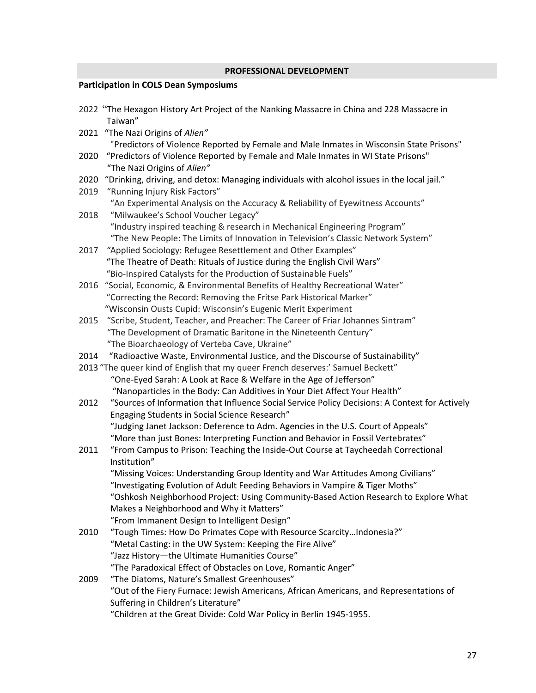# **PROFESSIONAL DEVELOPMENT**

# **Participation in COLS Dean Symposiums**

|      | 2022 "The Hexagon History Art Project of the Nanking Massacre in China and 228 Massacre in<br>Taiwan"                                                                 |
|------|-----------------------------------------------------------------------------------------------------------------------------------------------------------------------|
| 2021 | "The Nazi Origins of Alien"                                                                                                                                           |
|      | "Predictors of Violence Reported by Female and Male Inmates in Wisconsin State Prisons"                                                                               |
| 2020 | "Predictors of Violence Reported by Female and Male Inmates in WI State Prisons"                                                                                      |
|      | "The Nazi Origins of Alien"                                                                                                                                           |
| 2020 | "Drinking, driving, and detox: Managing individuals with alcohol issues in the local jail."                                                                           |
| 2019 | "Running Injury Risk Factors"                                                                                                                                         |
|      | "An Experimental Analysis on the Accuracy & Reliability of Eyewitness Accounts"                                                                                       |
| 2018 | "Milwaukee's School Voucher Legacy"                                                                                                                                   |
|      | "Industry inspired teaching & research in Mechanical Engineering Program"                                                                                             |
|      | "The New People: The Limits of Innovation in Television's Classic Network System"                                                                                     |
| 2017 | "Applied Sociology: Refugee Resettlement and Other Examples"                                                                                                          |
|      | "The Theatre of Death: Rituals of Justice during the English Civil Wars"                                                                                              |
|      | "Bio-Inspired Catalysts for the Production of Sustainable Fuels"                                                                                                      |
| 2016 | "Social, Economic, & Environmental Benefits of Healthy Recreational Water"                                                                                            |
|      | "Correcting the Record: Removing the Fritse Park Historical Marker"                                                                                                   |
|      | "Wisconsin Ousts Cupid: Wisconsin's Eugenic Merit Experiment                                                                                                          |
| 2015 | "Scribe, Student, Teacher, and Preacher: The Career of Friar Johannes Sintram"                                                                                        |
|      | "The Development of Dramatic Baritone in the Nineteenth Century"                                                                                                      |
|      | "The Bioarchaeology of Verteba Cave, Ukraine"                                                                                                                         |
| 2014 | "Radioactive Waste, Environmental Justice, and the Discourse of Sustainability"                                                                                       |
|      | 2013 "The queer kind of English that my queer French deserves:' Samuel Beckett"                                                                                       |
|      | "One-Eyed Sarah: A Look at Race & Welfare in the Age of Jefferson"                                                                                                    |
|      | "Nanoparticles in the Body: Can Additives in Your Diet Affect Your Health"                                                                                            |
| 2012 | "Sources of Information that Influence Social Service Policy Decisions: A Context for Actively                                                                        |
|      | Engaging Students in Social Science Research"                                                                                                                         |
|      | "Judging Janet Jackson: Deference to Adm. Agencies in the U.S. Court of Appeals"                                                                                      |
| 2011 | "More than just Bones: Interpreting Function and Behavior in Fossil Vertebrates"<br>"From Campus to Prison: Teaching the Inside-Out Course at Taycheedah Correctional |
|      | Institution"                                                                                                                                                          |
|      | "Missing Voices: Understanding Group Identity and War Attitudes Among Civilians"                                                                                      |
|      | "Investigating Evolution of Adult Feeding Behaviors in Vampire & Tiger Moths"                                                                                         |
|      | "Oshkosh Neighborhood Project: Using Community-Based Action Research to Explore What                                                                                  |
|      | Makes a Neighborhood and Why it Matters"                                                                                                                              |
|      | "From Immanent Design to Intelligent Design"                                                                                                                          |
| 2010 | "Tough Times: How Do Primates Cope with Resource ScarcityIndonesia?"                                                                                                  |
|      | "Metal Casting: in the UW System: Keeping the Fire Alive"                                                                                                             |
|      | "Jazz History-the Ultimate Humanities Course"                                                                                                                         |
|      | "The Paradoxical Effect of Obstacles on Love, Romantic Anger"                                                                                                         |
| 2009 | "The Diatoms, Nature's Smallest Greenhouses"                                                                                                                          |
|      | "Out of the Fiery Furnace: Jewish Americans, African Americans, and Representations of                                                                                |
|      | Suffering in Children's Literature"                                                                                                                                   |
|      | "Children at the Great Divide: Cold War Policy in Berlin 1945-1955.                                                                                                   |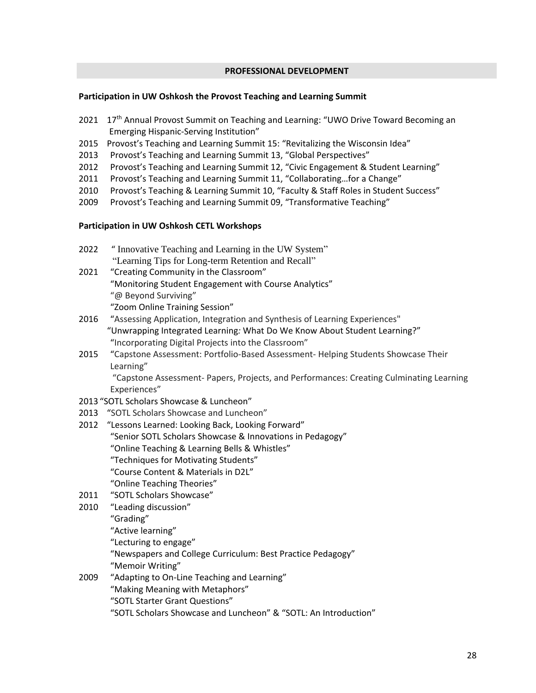### **PROFESSIONAL DEVELOPMENT**

### **Participation in UW Oshkosh the Provost Teaching and Learning Summit**

- 2021 17<sup>th</sup> Annual Provost Summit on Teaching and Learning: "UWO Drive Toward Becoming an Emerging Hispanic-Serving Institution"
- 2015 Provost's Teaching and Learning Summit 15: "Revitalizing the Wisconsin Idea"
- 2013 Provost's Teaching and Learning Summit 13, "Global Perspectives"
- 2012 Provost's Teaching and Learning Summit 12, "Civic Engagement & Student Learning"
- 2011 Provost's Teaching and Learning Summit 11, "Collaborating...for a Change"
- 2010 Provost's Teaching & Learning Summit 10, "Faculty & Staff Roles in Student Success"
- 2009 Provost's Teaching and Learning Summit 09, "Transformative Teaching"

# **Participation in UW Oshkosh CETL Workshops**

2022 " Innovative Teaching and Learning in the UW System" "Learning Tips for Long-term Retention and Recall" 2021 "Creating Community in the Classroom" "Monitoring Student Engagement with Course Analytics" "@ Beyond Surviving"

"Zoom Online Training Session"

- 2016 "Assessing Application, Integration and Synthesis of Learning Experiences" "Unwrapping Integrated Learning*:* What Do We Know About Student Learning?" "Incorporating Digital Projects into the Classroom"
- 2015 "Capstone Assessment: Portfolio-Based Assessment- Helping Students Showcase Their Learning"

"Capstone Assessment- Papers, Projects, and Performances: Creating Culminating Learning Experiences"

- 2013 "SOTL Scholars Showcase & Luncheon"
- 2013 "SOTL Scholars Showcase and Luncheon"
- 2012 "Lessons Learned: Looking Back, Looking Forward" "Senior SOTL Scholars Showcase & Innovations in Pedagogy" "Online Teaching & Learning Bells & Whistles" "Techniques for Motivating Students" "Course Content & Materials in D2L" "Online Teaching Theories"
- 2011 "SOTL Scholars Showcase"
- 2010 "Leading discussion" "Grading" "Active learning" "Lecturing to engage" "Newspapers and College Curriculum: Best Practice Pedagogy" "Memoir Writing" 2009 "Adapting to On-Line Teaching and Learning"
	- "Making Meaning with Metaphors"
		- "SOTL Starter Grant Questions"

"SOTL Scholars Showcase and Luncheon" & "SOTL: An Introduction"